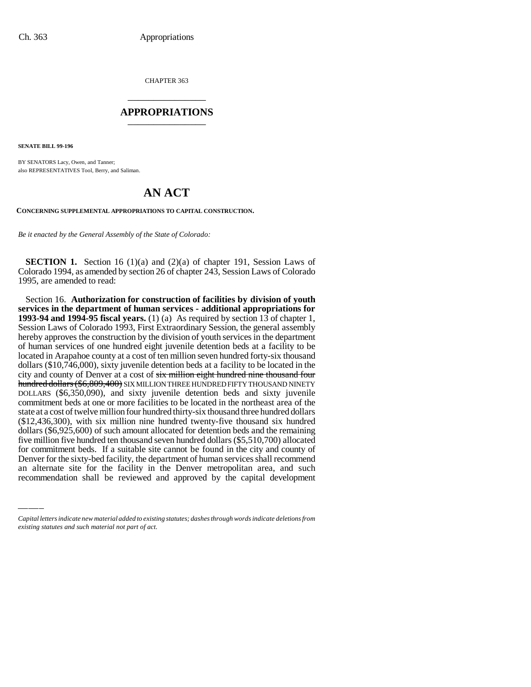CHAPTER 363 \_\_\_\_\_\_\_\_\_\_\_\_\_\_\_

### **APPROPRIATIONS** \_\_\_\_\_\_\_\_\_\_\_\_\_\_\_

**SENATE BILL 99-196**

BY SENATORS Lacy, Owen, and Tanner; also REPRESENTATIVES Tool, Berry, and Saliman.

# **AN ACT**

#### **CONCERNING SUPPLEMENTAL APPROPRIATIONS TO CAPITAL CONSTRUCTION.**

*Be it enacted by the General Assembly of the State of Colorado:*

**SECTION 1.** Section 16 (1)(a) and (2)(a) of chapter 191, Session Laws of Colorado 1994, as amended by section 26 of chapter 243, Session Laws of Colorado 1995, are amended to read:

five million five hundred ten thousand seven hundred dollars (\$5,510,700) allocated<br>for commitment hade. If a suitable site segment has found in the situ and sounty of Section 16. **Authorization for construction of facilities by division of youth services in the department of human services - additional appropriations for 1993-94 and 1994-95 fiscal years.** (1) (a) As required by section 13 of chapter 1, Session Laws of Colorado 1993, First Extraordinary Session, the general assembly hereby approves the construction by the division of youth services in the department of human services of one hundred eight juvenile detention beds at a facility to be located in Arapahoe county at a cost of ten million seven hundred forty-six thousand dollars (\$10,746,000), sixty juvenile detention beds at a facility to be located in the city and county of Denver at a cost of six million eight hundred nine thousand four hundred dollars (\$6,809,400) SIX MILLION THREE HUNDRED FIFTY THOUSAND NINETY DOLLARS (\$6,350,090), and sixty juvenile detention beds and sixty juvenile commitment beds at one or more facilities to be located in the northeast area of the state at a cost of twelve million four hundred thirty-six thousand three hundred dollars (\$12,436,300), with six million nine hundred twenty-five thousand six hundred dollars (\$6,925,600) of such amount allocated for detention beds and the remaining for commitment beds. If a suitable site cannot be found in the city and county of Denver for the sixty-bed facility, the department of human services shall recommend an alternate site for the facility in the Denver metropolitan area, and such recommendation shall be reviewed and approved by the capital development

*Capital letters indicate new material added to existing statutes; dashes through words indicate deletions from existing statutes and such material not part of act.*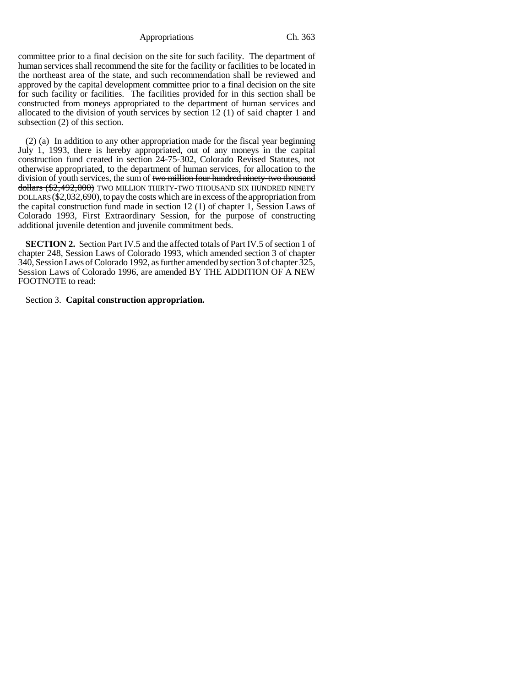Appropriations Ch. 363

committee prior to a final decision on the site for such facility. The department of human services shall recommend the site for the facility or facilities to be located in the northeast area of the state, and such recommendation shall be reviewed and approved by the capital development committee prior to a final decision on the site for such facility or facilities. The facilities provided for in this section shall be constructed from moneys appropriated to the department of human services and allocated to the division of youth services by section 12 (1) of said chapter 1 and subsection (2) of this section.

(2) (a) In addition to any other appropriation made for the fiscal year beginning July 1, 1993, there is hereby appropriated, out of any moneys in the capital construction fund created in section 24-75-302, Colorado Revised Statutes, not otherwise appropriated, to the department of human services, for allocation to the division of youth services, the sum of two million four hundred ninety-two thousand dollars (\$2,492,000) TWO MILLION THIRTY-TWO THOUSAND SIX HUNDRED NINETY DOLLARS (\$2,032,690), to pay the costs which are in excess of the appropriation from the capital construction fund made in section 12 (1) of chapter 1, Session Laws of Colorado 1993, First Extraordinary Session, for the purpose of constructing additional juvenile detention and juvenile commitment beds.

**SECTION 2.** Section Part IV.5 and the affected totals of Part IV.5 of section 1 of chapter 248, Session Laws of Colorado 1993, which amended section 3 of chapter 340, Session Laws of Colorado 1992, as further amended by section 3 of chapter 325, Session Laws of Colorado 1996, are amended BY THE ADDITION OF A NEW FOOTNOTE to read:

Section 3. **Capital construction appropriation.**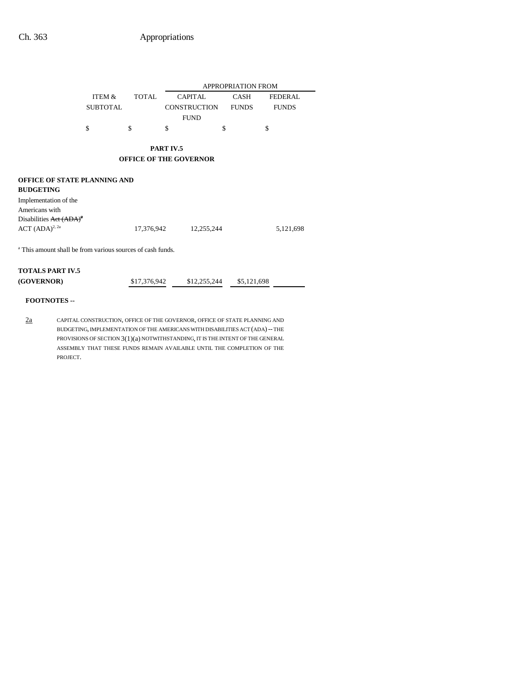|                                                                       |                 |              |                               | <b>APPROPRIATION FROM</b> |                |
|-----------------------------------------------------------------------|-----------------|--------------|-------------------------------|---------------------------|----------------|
|                                                                       | ITEM &          | <b>TOTAL</b> | <b>CAPITAL</b>                | <b>CASH</b>               | <b>FEDERAL</b> |
|                                                                       | <b>SUBTOTAL</b> |              | <b>CONSTRUCTION</b>           | <b>FUNDS</b>              | <b>FUNDS</b>   |
|                                                                       |                 |              | <b>FUND</b>                   |                           |                |
|                                                                       | \$              | \$           | \$                            | \$<br>\$                  |                |
|                                                                       |                 |              | PART IV.5                     |                           |                |
|                                                                       |                 |              | <b>OFFICE OF THE GOVERNOR</b> |                           |                |
| <b>OFFICE OF STATE PLANNING AND</b>                                   |                 |              |                               |                           |                |
| <b>BUDGETING</b>                                                      |                 |              |                               |                           |                |
| Implementation of the                                                 |                 |              |                               |                           |                |
| Americans with                                                        |                 |              |                               |                           |                |
| Disabilities Act $(ADA)^2$                                            |                 |              |                               |                           |                |
| ACT $(ADA)^{2, 2a}$                                                   |                 | 17,376,942   | 12,255,244                    |                           | 5,121,698      |
| <sup>a</sup> This amount shall be from various sources of cash funds. |                 |              |                               |                           |                |
| <b>TOTALS PART IV.5</b>                                               |                 |              |                               |                           |                |
| (GOVERNOR)                                                            |                 | \$17,376,942 | \$12,255,244                  | \$5,121,698               |                |

## **FOOTNOTES --**

2a CAPITAL CONSTRUCTION, OFFICE OF THE GOVERNOR, OFFICE OF STATE PLANNING AND BUDGETING, IMPLEMENTATION OF THE AMERICANS WITH DISABILITIES ACT (ADA)-- THE PROVISIONS OF SECTION  $3(1)(a)$  NOTWITHSTANDING, IT IS THE INTENT OF THE GENERAL ASSEMBLY THAT THESE FUNDS REMAIN AVAILABLE UNTIL THE COMPLETION OF THE PROJECT.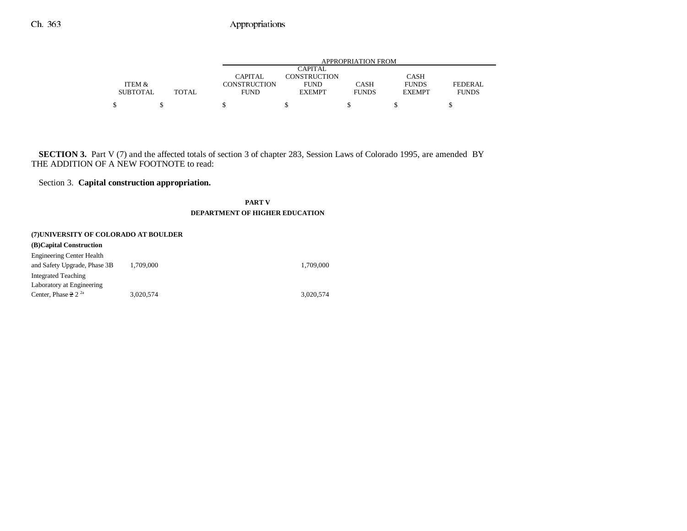|                 |       |                     |                     | APPROPRIATION FROM |               |              |
|-----------------|-------|---------------------|---------------------|--------------------|---------------|--------------|
|                 |       |                     | <b>CAPITAL</b>      |                    |               |              |
|                 |       | CAPITAL             | <b>CONSTRUCTION</b> |                    | <b>CASH</b>   |              |
| ITEM &          |       | <b>CONSTRUCTION</b> | <b>FUND</b>         | <b>CASH</b>        | <b>FUNDS</b>  | FEDERAL      |
| <b>SUBTOTAL</b> | TOTAL | <b>FUND</b>         | <b>EXEMPT</b>       | <b>FUNDS</b>       | <b>EXEMPT</b> | <b>FUNDS</b> |
|                 |       |                     |                     |                    |               |              |

**SECTION 3.** Part V (7) and the affected totals of section 3 of chapter 283, Session Laws of Colorado 1995, are amended BY THE ADDITION OF A NEW FOOTNOTE to read:

## Section 3. **Capital construction appropriation.**

**PART VDEPARTMENT OF HIGHER EDUCATION**

|                                                                  | (7) UNIVERSITY OF COLORADO AT BOULDER |           |  |  |  |
|------------------------------------------------------------------|---------------------------------------|-----------|--|--|--|
| (B)Capital Construction                                          |                                       |           |  |  |  |
| <b>Engineering Center Health</b><br>and Safety Upgrade, Phase 3B | 1.709.000                             | 1.709.000 |  |  |  |
| <b>Integrated Teaching</b>                                       |                                       |           |  |  |  |
| Laboratory at Engineering                                        |                                       |           |  |  |  |
| Center, Phase $2^2$ <sup>2a</sup>                                | 3.020.574                             | 3.020.574 |  |  |  |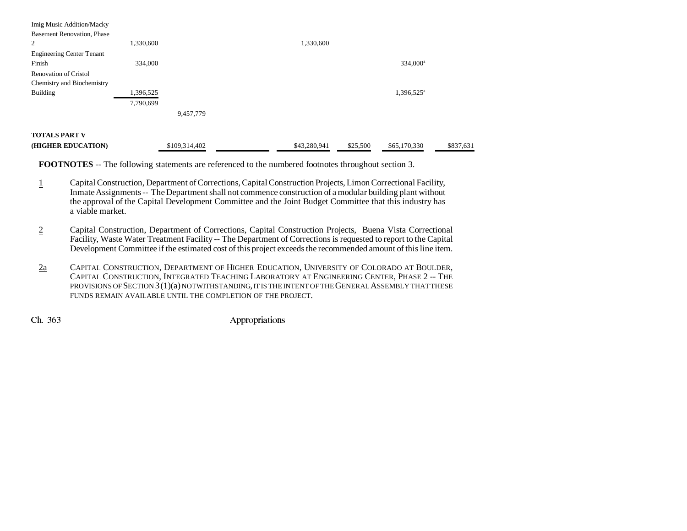| Imig Music Addition/Macky         |           |               |              |          |                        |           |
|-----------------------------------|-----------|---------------|--------------|----------|------------------------|-----------|
| <b>Basement Renovation, Phase</b> |           |               |              |          |                        |           |
| 2                                 | 1,330,600 |               | 1,330,600    |          |                        |           |
| <b>Engineering Center Tenant</b>  |           |               |              |          |                        |           |
| Finish                            | 334,000   |               |              |          | 334,000 <sup>a</sup>   |           |
| <b>Renovation of Cristol</b>      |           |               |              |          |                        |           |
| Chemistry and Biochemistry        |           |               |              |          |                        |           |
| Building                          | 1,396,525 |               |              |          | 1,396,525 <sup>a</sup> |           |
|                                   | 7,790,699 |               |              |          |                        |           |
|                                   |           | 9,457,779     |              |          |                        |           |
| <b>TOTALS PART V</b>              |           |               |              |          |                        |           |
| (HIGHER EDUCATION)                |           | \$109,314,402 | \$43,280,941 | \$25,500 | \$65,170,330           | \$837,631 |

**FOOTNOTES** -- The following statements are referenced to the numbered footnotes throughout section 3.

- 1 Capital Construction, Department of Corrections, Capital Construction Projects, Limon Correctional Facility, Inmate Assignments -- The Department shall not commence construction of a modular building plant without the approval of the Capital Development Committee and the Joint Budget Committee that this industry has a viable market.
- 2 Capital Construction, Department of Corrections, Capital Construction Projects, Buena Vista Correctional Facility, Waste Water Treatment Facility -- The Department of Corrections is requested to report to the Capital Development Committee if the estimated cost of this project exceeds the recommended amount of this line item.
- 2a CAPITAL CONSTRUCTION, DEPARTMENT OF HIGHER EDUCATION, UNIVERSITY OF COLORADO AT BOULDER, CAPITAL CONSTRUCTION, INTEGRATED TEACHING LABORATORY AT ENGINEERING CENTER, PHASE 2 -- THE PROVISIONS OF SECTION 3(1)(a) NOTWITHSTANDING, IT IS THE INTENT OF THE GENERAL ASSEMBLY THAT THESE FUNDS REMAIN AVAILABLE UNTIL THE COMPLETION OF THE PROJECT.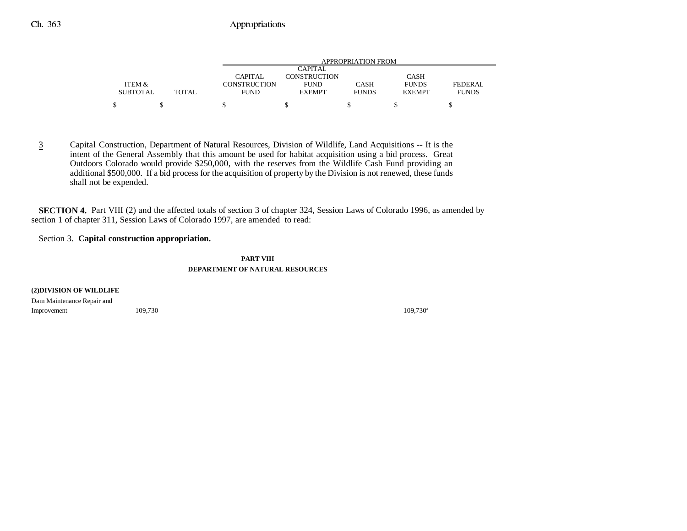|                 |        |              |                     | APPROPRIATION FROM |               |              |
|-----------------|--------|--------------|---------------------|--------------------|---------------|--------------|
|                 |        |              | CAPITAL             |                    |               |              |
|                 |        | CAPITAL      | <b>CONSTRUCTION</b> |                    | <b>CASH</b>   |              |
| ITEM &          |        | CONSTRUCTION | <b>FUND</b>         | <b>CASH</b>        | <b>FUNDS</b>  | FEDERAL.     |
| <b>SUBTOTAL</b> | TOTAL. | <b>FUND</b>  | <b>EXEMPT</b>       | <b>FUNDS</b>       | <b>EXEMPT</b> | <b>FUNDS</b> |
|                 |        |              |                     |                    |               |              |

3 Capital Construction, Department of Natural Resources, Division of Wildlife, Land Acquisitions -- It is the intent of the General Assembly that this amount be used for habitat acquisition using a bid process. Great Outdoors Colorado would provide \$250,000, with the reserves from the Wildlife Cash Fund providing an additional \$500,000. If a bid process for the acquisition of property by the Division is not renewed, these funds shall not be expended.

**SECTION 4.** Part VIII (2) and the affected totals of section 3 of chapter 324, Session Laws of Colorado 1996, as amended by section 1 of chapter 311, Session Laws of Colorado 1997, are amended to read:

## Section 3. **Capital construction appropriation.**

**PART VIII DEPARTMENT OF NATURAL RESOURCES**

#### **(2)DIVISION OF WILDLIFE**

Dam Maintenance Repair and  $Improvement$  109,730 $109,730$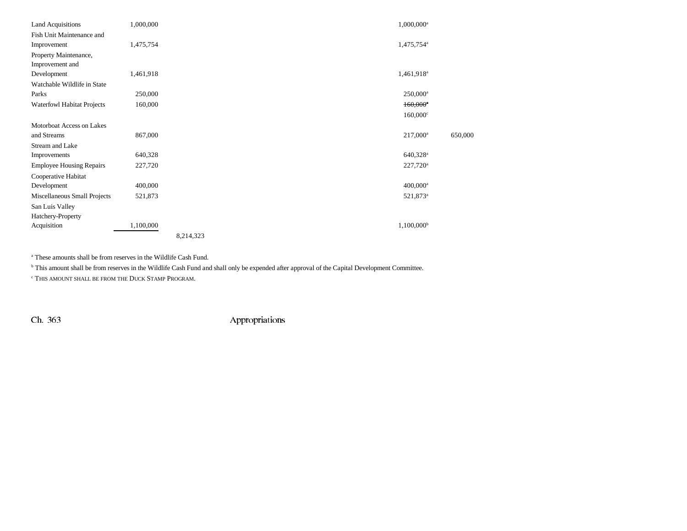| <b>Land Acquisitions</b>        | 1,000,000 | 1,000,000 <sup>a</sup> |         |
|---------------------------------|-----------|------------------------|---------|
| Fish Unit Maintenance and       |           |                        |         |
| Improvement                     | 1,475,754 | 1,475,754 <sup>a</sup> |         |
| Property Maintenance,           |           |                        |         |
| Improvement and                 |           |                        |         |
| Development                     | 1,461,918 | 1,461,918 <sup>a</sup> |         |
| Watchable Wildlife in State     |           |                        |         |
| Parks                           | 250,000   | $250,000^{\rm a}$      |         |
| Waterfowl Habitat Projects      | 160,000   | $160,000$ <sup>*</sup> |         |
|                                 |           | $160,000^{\circ}$      |         |
| Motorboat Access on Lakes       |           |                        |         |
| and Streams                     | 867,000   | $217,000^a$            | 650,000 |
| Stream and Lake                 |           |                        |         |
| Improvements                    | 640,328   | 640,328 <sup>a</sup>   |         |
| <b>Employee Housing Repairs</b> | 227,720   | $227,720^{\circ}$      |         |
| Cooperative Habitat             |           |                        |         |
| Development                     | 400,000   | $400,000$ <sup>a</sup> |         |
| Miscellaneous Small Projects    | 521,873   | 521,873 <sup>a</sup>   |         |
| San Luis Valley                 |           |                        |         |
| Hatchery-Property               |           |                        |         |
| Acquisition                     | 1,100,000 | $1,100,000^{\rm b}$    |         |
|                                 |           | 8,214,323              |         |

a These amounts shall be from reserves in the Wildlife Cash Fund.

b This amount shall be from reserves in the Wildlife Cash Fund and shall only be expended after approval of the Capital Development Committee.

 $\lq$  This amount shall be from the Duck Stamp Program.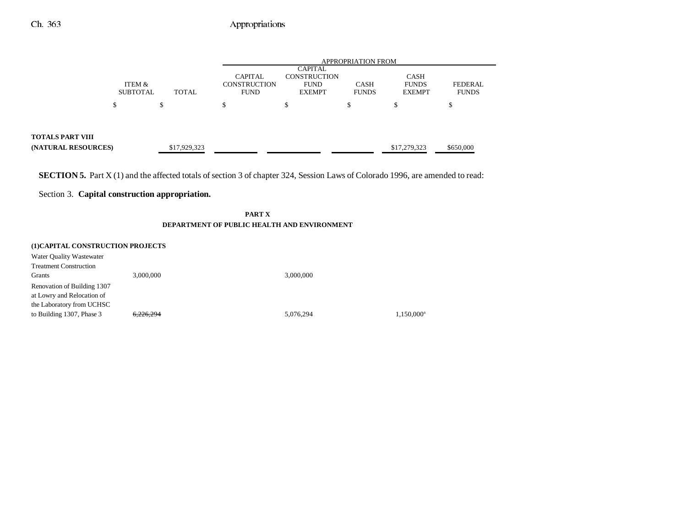|                                                |                           |              | <b>APPROPRIATION FROM</b>                            |                                                                       |                             |                                       |                                |  |
|------------------------------------------------|---------------------------|--------------|------------------------------------------------------|-----------------------------------------------------------------------|-----------------------------|---------------------------------------|--------------------------------|--|
|                                                | ITEM &<br><b>SUBTOTAL</b> | TOTAL        | <b>CAPITAL</b><br><b>CONSTRUCTION</b><br><b>FUND</b> | <b>CAPITAL</b><br><b>CONSTRUCTION</b><br><b>FUND</b><br><b>EXEMPT</b> | <b>CASH</b><br><b>FUNDS</b> | CASH<br><b>FUNDS</b><br><b>EXEMPT</b> | <b>FEDERAL</b><br><b>FUNDS</b> |  |
|                                                | \$                        | S            | \$                                                   | \$                                                                    | \$                          | S                                     | \$                             |  |
|                                                |                           |              |                                                      |                                                                       |                             |                                       |                                |  |
| <b>TOTALS PART VIII</b><br>(NATURAL RESOURCES) |                           | \$17,929,323 |                                                      |                                                                       |                             | \$17,279,323                          | \$650,000                      |  |

**SECTION 5.** Part X (1) and the affected totals of section 3 of chapter 324, Session Laws of Colorado 1996, are amended to read:

## Section 3. **Capital construction appropriation.**

**PART X DEPARTMENT OF PUBLIC HEALTH AND ENVIRONMENT**

| 3,000,000            | 3,000,000                         |                        |
|----------------------|-----------------------------------|------------------------|
|                      |                                   |                        |
|                      |                                   |                        |
|                      |                                   |                        |
| <del>6.226.294</del> | 5,076,294                         | 1.150.000 <sup>a</sup> |
|                      | (1) CAPITAL CONSTRUCTION PROJECTS |                        |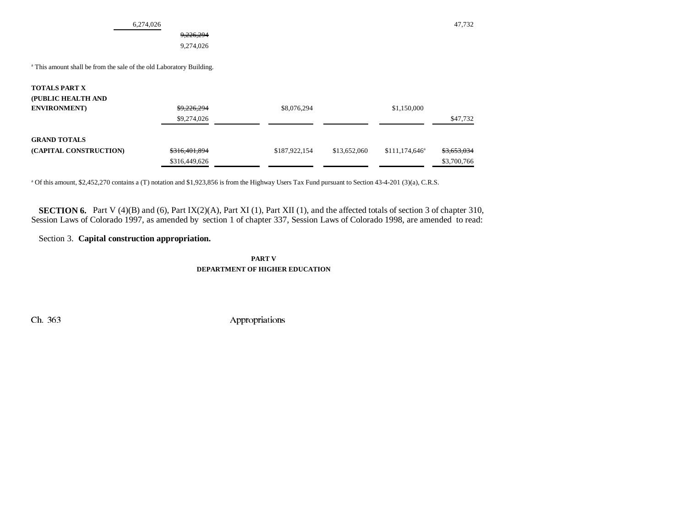6,274,026 47,732

## 9,226,294

9,274,026

<sup>a</sup> This amount shall be from the sale of the old Laboratory Building.

### **TOTALS PART X**

| (PUBLIC HEALTH AND<br><b>ENVIRONMENT</b> ) | <del>\$9,226,294</del><br>\$9,274,026 | \$8,076,294   |              | \$1,150,000      | \$47,732    |
|--------------------------------------------|---------------------------------------|---------------|--------------|------------------|-------------|
| <b>GRAND TOTALS</b>                        |                                       |               |              |                  |             |
| (CAPITAL CONSTRUCTION)                     | \$316,401,894                         | \$187,922,154 | \$13,652,060 | $$111,174,646^a$ | \$3,653,034 |
|                                            | \$316,449,626                         |               |              |                  | \$3,700,766 |

a Of this amount, \$2,452,270 contains a (T) notation and \$1,923,856 is from the Highway Users Tax Fund pursuant to Section 43-4-201 (3)(a), C.R.S.

**SECTION 6.** Part V (4)(B) and (6), Part IX(2)(A), Part XI (1), Part XII (1), and the affected totals of section 3 of chapter 310, Session Laws of Colorado 1997, as amended by section 1 of chapter 337, Session Laws of Colorado 1998, are amended to read:

## Section 3. **Capital construction appropriation.**

**PART VDEPARTMENT OF HIGHER EDUCATION**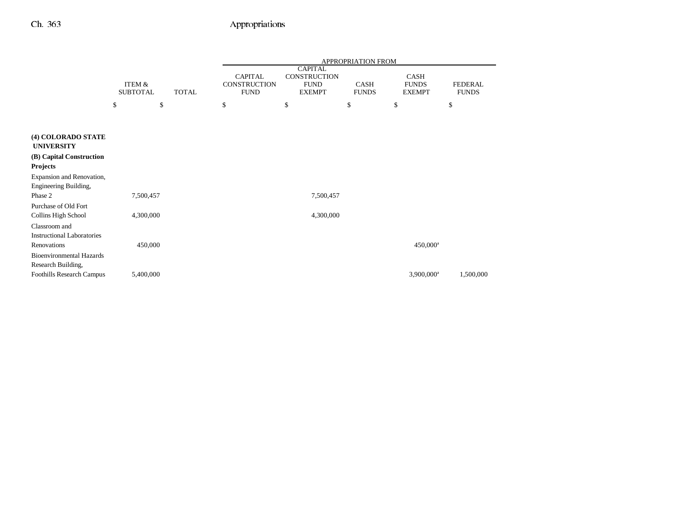|                                                                   |                                      |              |                                                      |                                                                | <b>APPROPRIATION FROM</b> |                                       |                                |
|-------------------------------------------------------------------|--------------------------------------|--------------|------------------------------------------------------|----------------------------------------------------------------|---------------------------|---------------------------------------|--------------------------------|
|                                                                   | <b>ITEM &amp;</b><br><b>SUBTOTAL</b> | <b>TOTAL</b> | <b>CAPITAL</b><br><b>CONSTRUCTION</b><br><b>FUND</b> | <b>CAPITAL</b><br>CONSTRUCTION<br><b>FUND</b><br><b>EXEMPT</b> | CASH<br><b>FUNDS</b>      | CASH<br><b>FUNDS</b><br><b>EXEMPT</b> | <b>FEDERAL</b><br><b>FUNDS</b> |
|                                                                   | \$                                   | \$           | \$                                                   | \$                                                             | \$                        | \$                                    | \$                             |
|                                                                   |                                      |              |                                                      |                                                                |                           |                                       |                                |
| (4) COLORADO STATE<br><b>UNIVERSITY</b>                           |                                      |              |                                                      |                                                                |                           |                                       |                                |
| (B) Capital Construction<br><b>Projects</b>                       |                                      |              |                                                      |                                                                |                           |                                       |                                |
| Expansion and Renovation,<br>Engineering Building,                |                                      |              |                                                      |                                                                |                           |                                       |                                |
| Phase 2                                                           | 7,500,457                            |              |                                                      | 7,500,457                                                      |                           |                                       |                                |
| Purchase of Old Fort<br>Collins High School                       | 4,300,000                            |              |                                                      | 4,300,000                                                      |                           |                                       |                                |
| Classroom and<br><b>Instructional Laboratories</b><br>Renovations | 450,000                              |              |                                                      |                                                                |                           | 450,000 <sup>a</sup>                  |                                |
| <b>Bioenvironmental Hazards</b><br>Research Building,             |                                      |              |                                                      |                                                                |                           |                                       |                                |
| Foothills Research Campus                                         | 5,400,000                            |              |                                                      |                                                                |                           | 3,900,000 <sup>a</sup>                | 1,500,000                      |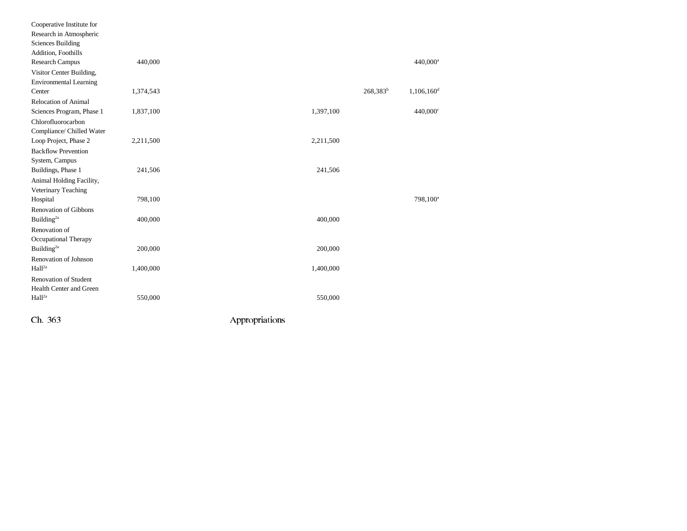| Cooperative Institute for     |           |                |             |                        |  |
|-------------------------------|-----------|----------------|-------------|------------------------|--|
| Research in Atmospheric       |           |                |             |                        |  |
| <b>Sciences Building</b>      |           |                |             |                        |  |
| Addition, Foothills           |           |                |             |                        |  |
| Research Campus               | 440,000   |                |             | 440,000 <sup>a</sup>   |  |
| Visitor Center Building,      |           |                |             |                        |  |
| <b>Environmental Learning</b> |           |                |             |                        |  |
| Center                        | 1,374,543 |                | $268,383^b$ | 1,106,160 <sup>d</sup> |  |
| <b>Relocation of Animal</b>   |           |                |             |                        |  |
| Sciences Program, Phase 1     | 1,837,100 | 1,397,100      |             | 440,000°               |  |
| Chlorofluorocarbon            |           |                |             |                        |  |
| Compliance/ Chilled Water     |           |                |             |                        |  |
| Loop Project, Phase 2         | 2,211,500 | 2,211,500      |             |                        |  |
| <b>Backflow Prevention</b>    |           |                |             |                        |  |
| System, Campus                |           |                |             |                        |  |
| Buildings, Phase 1            | 241,506   | 241,506        |             |                        |  |
| Animal Holding Facility,      |           |                |             |                        |  |
| Veterinary Teaching           |           |                |             |                        |  |
| Hospital                      | 798,100   |                |             | 798,100 <sup>a</sup>   |  |
| Renovation of Gibbons         |           |                |             |                        |  |
| Building $^{2a}$              | 400,000   | 400,000        |             |                        |  |
| Renovation of                 |           |                |             |                        |  |
| Occupational Therapy          |           |                |             |                        |  |
| Building <sup>2a</sup>        | 200,000   | 200,000        |             |                        |  |
| Renovation of Johnson         |           |                |             |                        |  |
| Hall <sup>2a</sup>            | 1,400,000 | 1,400,000      |             |                        |  |
| <b>Renovation of Student</b>  |           |                |             |                        |  |
| Health Center and Green       |           |                |             |                        |  |
| Hall <sup>2a</sup>            | 550,000   | 550,000        |             |                        |  |
| Ch 363                        |           |                |             |                        |  |
|                               |           | Appropriations |             |                        |  |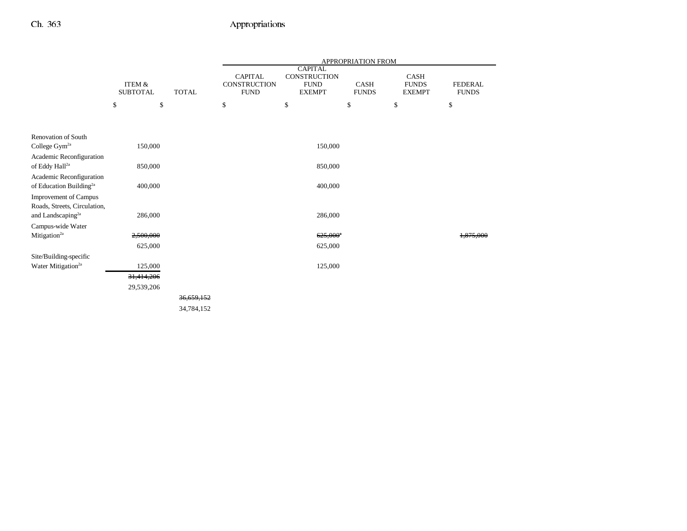|                                                                 |                                      |              |                                                      |                                                                | APPROPRIATION FROM   |                                              |                                |
|-----------------------------------------------------------------|--------------------------------------|--------------|------------------------------------------------------|----------------------------------------------------------------|----------------------|----------------------------------------------|--------------------------------|
|                                                                 | <b>ITEM &amp;</b><br><b>SUBTOTAL</b> | <b>TOTAL</b> | <b>CAPITAL</b><br><b>CONSTRUCTION</b><br><b>FUND</b> | <b>CAPITAL</b><br>CONSTRUCTION<br><b>FUND</b><br><b>EXEMPT</b> | CASH<br><b>FUNDS</b> | <b>CASH</b><br><b>FUNDS</b><br><b>EXEMPT</b> | <b>FEDERAL</b><br><b>FUNDS</b> |
|                                                                 | \$<br>\$                             |              | \$                                                   | \$                                                             | \$                   | \$                                           | \$                             |
|                                                                 |                                      |              |                                                      |                                                                |                      |                                              |                                |
| Renovation of South                                             |                                      |              |                                                      |                                                                |                      |                                              |                                |
| College Gym <sup>2a</sup>                                       | 150,000                              |              |                                                      | 150,000                                                        |                      |                                              |                                |
| Academic Reconfiguration<br>of Eddy Hall <sup>2a</sup>          | 850,000                              |              |                                                      | 850,000                                                        |                      |                                              |                                |
| Academic Reconfiguration<br>of Education Building <sup>2a</sup> | 400,000                              |              |                                                      | 400,000                                                        |                      |                                              |                                |
| <b>Improvement of Campus</b><br>Roads, Streets, Circulation,    |                                      |              |                                                      |                                                                |                      |                                              |                                |
| and Landscaping <sup>2a</sup>                                   | 286,000                              |              |                                                      | 286,000                                                        |                      |                                              |                                |
| Campus-wide Water                                               |                                      |              |                                                      |                                                                |                      |                                              |                                |
| Mitigation <sup>2a</sup>                                        | 2,500,000                            |              |                                                      | $625,000^{\circ}$                                              |                      |                                              | 1.875.000                      |
|                                                                 | 625,000                              |              |                                                      | 625,000                                                        |                      |                                              |                                |
| Site/Building-specific                                          |                                      |              |                                                      |                                                                |                      |                                              |                                |
| Water Mitigation <sup>2a</sup>                                  | 125,000                              |              |                                                      | 125,000                                                        |                      |                                              |                                |
|                                                                 | 31,414,206                           |              |                                                      |                                                                |                      |                                              |                                |
|                                                                 | 29,539,206                           |              |                                                      |                                                                |                      |                                              |                                |
|                                                                 |                                      | 36,659,152   |                                                      |                                                                |                      |                                              |                                |
|                                                                 |                                      | 34,784,152   |                                                      |                                                                |                      |                                              |                                |
|                                                                 |                                      |              |                                                      |                                                                |                      |                                              |                                |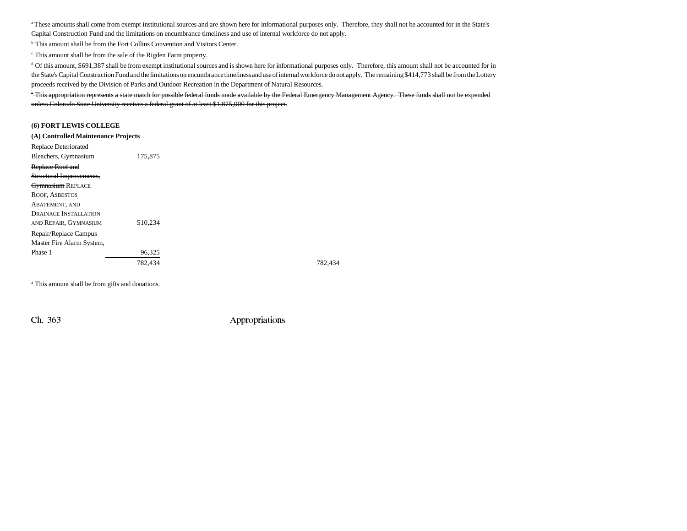a These amounts shall come from exempt institutional sources and are shown here for informational purposes only. Therefore, they shall not be accounted for in the State's Capital Construction Fund and the limitations on encumbrance timeliness and use of internal workforce do not apply.

b This amount shall be from the Fort Collins Convention and Visitors Center.

c This amount shall be from the sale of the Rigden Farm property.

<sup>d</sup> Of this amount, \$691,387 shall be from exempt institutional sources and is shown here for informational purposes only. Therefore, this amount shall not be accounted for in the State's Capital Construction Fund and the limitations on encumbrance timeliness and use of internal workforce do not apply. The remaining \$414,773 shall be from the Lottery proceeds received by the Division of Parks and Outdoor Recreation in the Department of Natural Resources.

e This appropriation represents a state match for possible federal funds made available by the Federal Emergency Management Agency. These funds shall not be expended unless Colorado State University receives a federal grant of at least \$1,875,000 for this project.

#### **(6) FORT LEWIS COLLEGE**

| (A) Controlled Maintenance Projects |         |
|-------------------------------------|---------|
| Replace Deteriorated                |         |
| Bleachers, Gymnasium                | 175,875 |
| Replace Roof and                    |         |
| Structural Improvements,            |         |
| <b>Gymnasium REPLACE</b>            |         |
| <b>ROOF, ASBESTOS</b>               |         |
| ABATEMENT, AND                      |         |
| <b>DRAINAGE INSTALLATION</b>        |         |
| AND REPAIR, GYMNASIUM               | 510.234 |
| Repair/Replace Campus               |         |
| Master Fire Alarm System,           |         |
| Phase 1                             | 96,325  |
|                                     | 782,434 |
|                                     |         |

782,434 782,434

<sup>a</sup> This amount shall be from gifts and donations.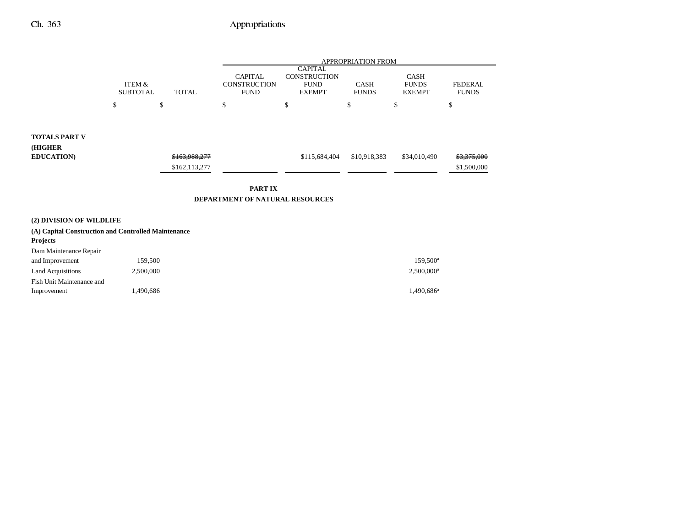|                                                                  |                                           |                                | <b>APPROPRIATION FROM</b>                            |                                                                       |                             |                                       |                                       |  |
|------------------------------------------------------------------|-------------------------------------------|--------------------------------|------------------------------------------------------|-----------------------------------------------------------------------|-----------------------------|---------------------------------------|---------------------------------------|--|
|                                                                  | ITEM &<br><b>TOTAL</b><br><b>SUBTOTAL</b> |                                | <b>CAPITAL</b><br><b>CONSTRUCTION</b><br><b>FUND</b> | <b>CAPITAL</b><br><b>CONSTRUCTION</b><br><b>FUND</b><br><b>EXEMPT</b> | <b>CASH</b><br><b>FUNDS</b> | CASH<br><b>FUNDS</b><br><b>EXEMPT</b> | <b>FEDERAL</b><br><b>FUNDS</b>        |  |
|                                                                  | \$                                        | \$                             | \$                                                   | \$                                                                    | \$                          | \$                                    | \$                                    |  |
| <b>TOTALS PART V</b><br>(HIGHER<br><b>EDUCATION)</b>             |                                           | \$163,988,277<br>\$162,113,277 |                                                      | \$115,684,404                                                         | \$10,918,383                | \$34,010,490                          | <del>\$3,375,000</del><br>\$1,500,000 |  |
| PART IX<br>DEPARTMENT OF NATURAL RESOURCES                       |                                           |                                |                                                      |                                                                       |                             |                                       |                                       |  |
| (2) DIVISION OF WILDLIFE                                         |                                           |                                |                                                      |                                                                       |                             |                                       |                                       |  |
| (A) Capital Construction and Controlled Maintenance              |                                           |                                |                                                      |                                                                       |                             |                                       |                                       |  |
| <b>Projects</b>                                                  |                                           |                                |                                                      |                                                                       |                             |                                       |                                       |  |
| $\mathbf{D}$ $\mathbf{M}$ $\mathbf{L}$ $\mathbf{D}$ $\mathbf{L}$ |                                           |                                |                                                      |                                                                       |                             |                                       |                                       |  |

| Dam Maintenance Repair    |           |                          |
|---------------------------|-----------|--------------------------|
| and Improvement           | 159.500   | $159.500^{\circ}$        |
| <b>Land Acquisitions</b>  | 2.500,000 | $2.500.000$ <sup>a</sup> |
| Fish Unit Maintenance and |           |                          |
| Improvement               | .490.686  | $1,490,686^{\circ}$      |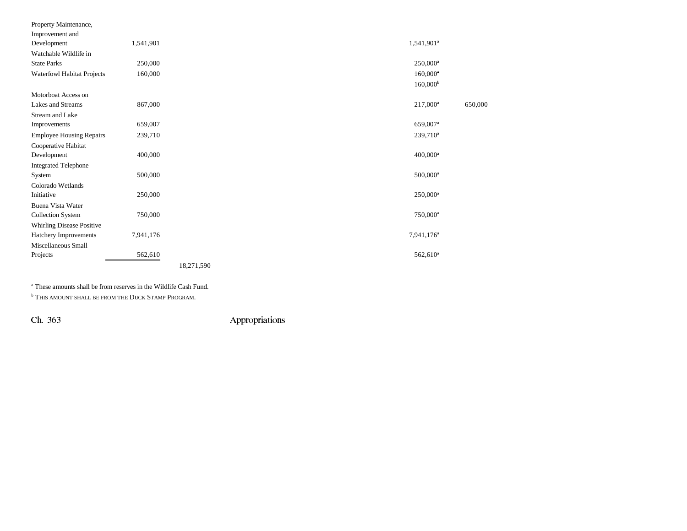| Property Maintenance,           |           |            |                        |         |
|---------------------------------|-----------|------------|------------------------|---------|
| Improvement and                 |           |            |                        |         |
| Development                     | 1,541,901 |            | 1,541,901 <sup>a</sup> |         |
| Watchable Wildlife in           |           |            |                        |         |
| <b>State Parks</b>              | 250,000   |            | $250,000^{\rm a}$      |         |
| Waterfowl Habitat Projects      | 160,000   |            | $160,000$ <sup>e</sup> |         |
|                                 |           |            | 160,000 <sup>b</sup>   |         |
| Motorboat Access on             |           |            |                        |         |
| Lakes and Streams               | 867,000   |            | $217,000^{\rm a}$      | 650,000 |
| Stream and Lake                 |           |            |                        |         |
| Improvements                    | 659,007   |            | 659,007 <sup>a</sup>   |         |
| <b>Employee Housing Repairs</b> | 239,710   |            | $239,710^a$            |         |
| Cooperative Habitat             |           |            |                        |         |
| Development                     | 400,000   |            | $400,000$ <sup>a</sup> |         |
| <b>Integrated Telephone</b>     |           |            |                        |         |
| System                          | 500,000   |            | $500,000$ <sup>a</sup> |         |
| Colorado Wetlands               |           |            |                        |         |
| Initiative                      | 250,000   |            | $250,000$ <sup>a</sup> |         |
| Buena Vista Water               |           |            |                        |         |
| <b>Collection System</b>        | 750,000   |            | $750,000$ <sup>a</sup> |         |
| Whirling Disease Positive       |           |            |                        |         |
| Hatchery Improvements           | 7,941,176 |            | 7,941,176 <sup>a</sup> |         |
| Miscellaneous Small             |           |            |                        |         |
| Projects                        | 562,610   |            | $562,610$ <sup>a</sup> |         |
|                                 |           | 18,271,590 |                        |         |

a These amounts shall be from reserves in the Wildlife Cash Fund.

**b THIS AMOUNT SHALL BE FROM THE DUCK STAMP PROGRAM.**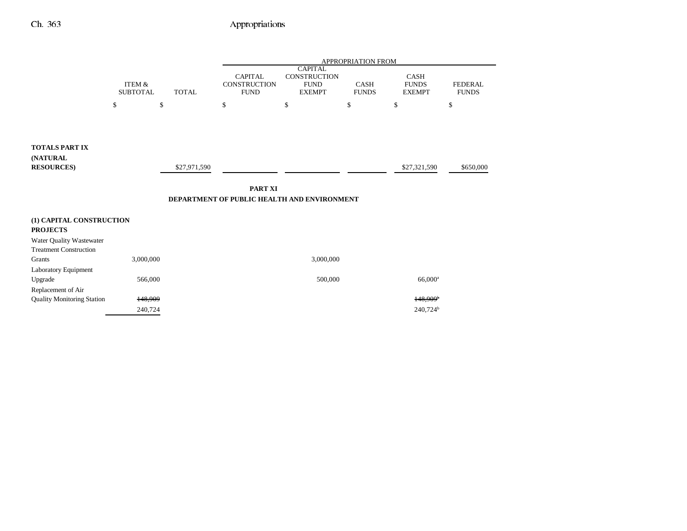|                                                         |                                      |              | APPROPRIATION FROM                                            |                                                                |                             |                                       |                                |  |
|---------------------------------------------------------|--------------------------------------|--------------|---------------------------------------------------------------|----------------------------------------------------------------|-----------------------------|---------------------------------------|--------------------------------|--|
|                                                         | <b>ITEM &amp;</b><br><b>SUBTOTAL</b> | <b>TOTAL</b> | <b>CAPITAL</b><br>CONSTRUCTION<br><b>FUND</b>                 | <b>CAPITAL</b><br>CONSTRUCTION<br><b>FUND</b><br><b>EXEMPT</b> | <b>CASH</b><br><b>FUNDS</b> | CASH<br><b>FUNDS</b><br><b>EXEMPT</b> | <b>FEDERAL</b><br><b>FUNDS</b> |  |
|                                                         | \$                                   | \$           | \$                                                            | \$                                                             | \$                          | \$                                    | \$                             |  |
| <b>TOTALS PART IX</b><br>(NATURAL<br><b>RESOURCES</b> ) |                                      | \$27,971,590 | <b>PART XI</b><br>DEPARTMENT OF PUBLIC HEALTH AND ENVIRONMENT |                                                                |                             | \$27,321,590                          | \$650,000                      |  |
| (1) CAPITAL CONSTRUCTION<br><b>PROJECTS</b>             |                                      |              |                                                               |                                                                |                             |                                       |                                |  |
| Water Quality Wastewater                                |                                      |              |                                                               |                                                                |                             |                                       |                                |  |
| <b>Treatment Construction</b>                           |                                      |              |                                                               |                                                                |                             |                                       |                                |  |
| Grants                                                  | 3,000,000                            |              |                                                               | 3,000,000                                                      |                             |                                       |                                |  |
| Laboratory Equipment<br>Upgrade                         | 566,000                              |              |                                                               | 500,000                                                        |                             | 66,000 <sup>a</sup>                   |                                |  |
| Replacement of Air<br><b>Quality Monitoring Station</b> | 148.909                              |              |                                                               |                                                                |                             | 148.909 <sup>b</sup>                  |                                |  |
|                                                         | 240,724                              |              |                                                               |                                                                |                             | 240,724 <sup>b</sup>                  |                                |  |
|                                                         |                                      |              |                                                               |                                                                |                             |                                       |                                |  |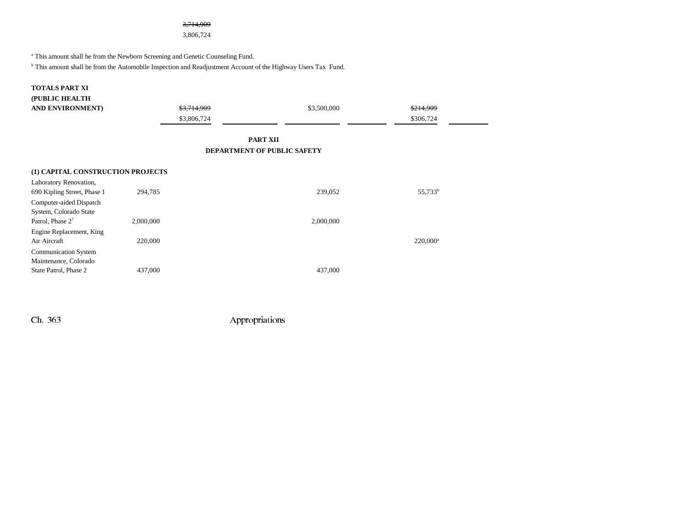### 3,714,909

3,806,724

a This amount shall be from the Newborn Screening and Genetic Counseling Fund.

b This amount shall be from the Automobile Inspection and Readjustment Account of the Highway Users Tax Fund.

#### **TOTALS PART XI**

| (PUBLIC HEALTH                    |           |             |                             |                     |
|-----------------------------------|-----------|-------------|-----------------------------|---------------------|
| AND ENVIRONMENT)                  |           | \$3,714,909 | \$3,500,000                 | \$214,909           |
|                                   |           | \$3,806,724 |                             | \$306,724           |
|                                   |           |             |                             |                     |
|                                   |           |             | <b>PART XII</b>             |                     |
|                                   |           |             | DEPARTMENT OF PUBLIC SAFETY |                     |
|                                   |           |             |                             |                     |
| (1) CAPITAL CONSTRUCTION PROJECTS |           |             |                             |                     |
| Laboratory Renovation,            |           |             |                             |                     |
| 690 Kipling Street, Phase 1       | 294,785   |             | 239,052                     | 55,733 <sup>b</sup> |
| Computer-aided Dispatch           |           |             |                             |                     |
| System, Colorado State            |           |             |                             |                     |
| Patrol, Phase 27                  | 2,000,000 |             | 2,000,000                   |                     |
| Engine Replacement, King          |           |             |                             |                     |
| Air Aircraft                      | 220,000   |             |                             | $220,000^a$         |
| <b>Communication System</b>       |           |             |                             |                     |
| Maintenance, Colorado             |           |             |                             |                     |
| State Patrol, Phase 2             | 437,000   |             | 437,000                     |                     |
|                                   |           |             |                             |                     |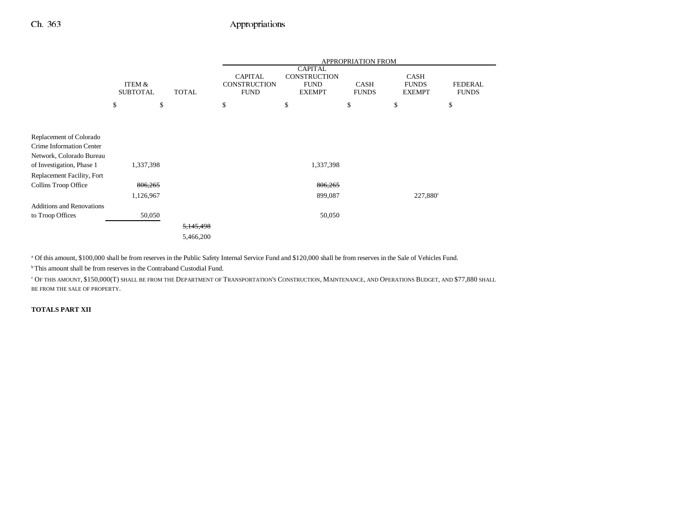|                                                       |                           |                      | APPROPRIATION FROM                                   |                                                                       |                             |                                              |                                |
|-------------------------------------------------------|---------------------------|----------------------|------------------------------------------------------|-----------------------------------------------------------------------|-----------------------------|----------------------------------------------|--------------------------------|
|                                                       | ITEM &<br><b>SUBTOTAL</b> | <b>TOTAL</b>         | <b>CAPITAL</b><br><b>CONSTRUCTION</b><br><b>FUND</b> | <b>CAPITAL</b><br><b>CONSTRUCTION</b><br><b>FUND</b><br><b>EXEMPT</b> | <b>CASH</b><br><b>FUNDS</b> | <b>CASH</b><br><b>FUNDS</b><br><b>EXEMPT</b> | <b>FEDERAL</b><br><b>FUNDS</b> |
|                                                       | \$                        | \$                   | \$                                                   | \$                                                                    | \$                          | \$                                           | \$                             |
|                                                       |                           |                      |                                                      |                                                                       |                             |                                              |                                |
| Replacement of Colorado<br>Crime Information Center   |                           |                      |                                                      |                                                                       |                             |                                              |                                |
| Network, Colorado Bureau<br>of Investigation, Phase 1 | 1,337,398                 |                      |                                                      | 1,337,398                                                             |                             |                                              |                                |
| Replacement Facility, Fort                            |                           |                      |                                                      |                                                                       |                             |                                              |                                |
| Collins Troop Office                                  | 806,265                   |                      |                                                      | 806,265                                                               |                             |                                              |                                |
|                                                       | 1,126,967                 |                      |                                                      | 899,087                                                               |                             | $227,880^{\circ}$                            |                                |
| <b>Additions and Renovations</b>                      |                           |                      |                                                      |                                                                       |                             |                                              |                                |
| to Troop Offices                                      | 50,050                    |                      |                                                      | 50,050                                                                |                             |                                              |                                |
|                                                       |                           | <del>5,145,498</del> |                                                      |                                                                       |                             |                                              |                                |
|                                                       |                           | 5,466,200            |                                                      |                                                                       |                             |                                              |                                |

<sup>a</sup> Of this amount, \$100,000 shall be from reserves in the Public Safety Internal Service Fund and \$120,000 shall be from reserves in the Sale of Vehicles Fund.

<sup>b</sup> This amount shall be from reserves in the Contraband Custodial Fund.

c OF THIS AMOUNT, \$150,000(T) SHALL BE FROM THE DEPARTMENT OF TRANSPORTATION'S CONSTRUCTION, MAINTENANCE, AND OPERATIONS BUDGET, AND \$77,880 SHALL BE FROM THE SALE OF PROPERTY.

### **TOTALS PART XII**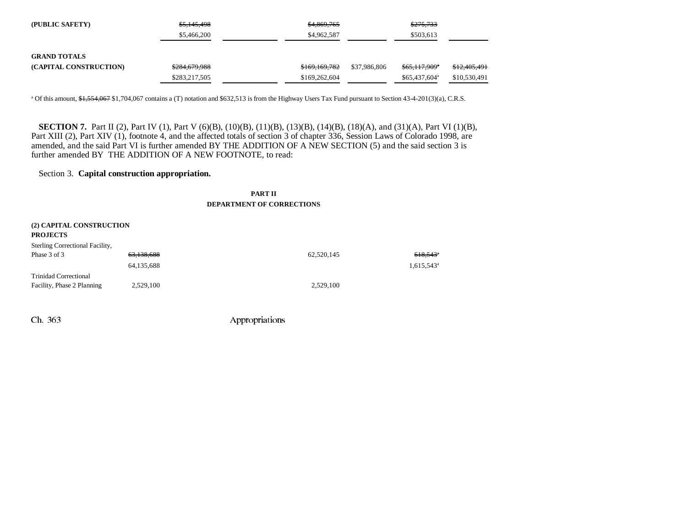| (PUBLIC SAFETY)        | \$5,145,498   | \$4,869,765   |              | \$275,733              |              |
|------------------------|---------------|---------------|--------------|------------------------|--------------|
|                        | \$5,466,200   | \$4,962,587   |              | \$503,613              |              |
|                        |               |               |              |                        |              |
| <b>GRAND TOTALS</b>    |               |               |              |                        |              |
| (CAPITAL CONSTRUCTION) | \$284,679,988 | \$169,169,782 | \$37,986,806 | \$65,117,909*          | \$12,405,491 |
|                        | \$283,217,505 | \$169,262,604 |              | $$65,437,604^{\circ}$$ | \$10,530,491 |

<sup>a</sup> Of this amount, \$1,554,067 \$1,704,067 contains a (T) notation and \$632,513 is from the Highway Users Tax Fund pursuant to Section 43-4-201(3)(a), C.R.S.

**SECTION 7.** Part II (2), Part IV (1), Part V (6)(B), (10)(B), (11)(B), (13)(B), (14)(B), (18)(A), and (31)(A), Part VI (1)(B), Part XIII (2), Part XIV (1), footnote 4, and the affected totals of section 3 of chapter 336, Session Laws of Colorado 1998, are amended, and the said Part VI is further amended BY THE ADDITION OF A NEW SECTION (5) and the said section 3 is further amended BY THE ADDITION OF A NEW FOOTNOTE, to read:

## Section 3. **Capital construction appropriation.**

## **PART IIDEPARTMENT OF CORRECTIONS**

| 63,138,688 | 62,520,145               | $618,543$ <sup>*</sup>   |
|------------|--------------------------|--------------------------|
| 64,135,688 |                          | $1,615,543$ <sup>a</sup> |
|            |                          |                          |
| 2,529,100  | 2,529,100                |                          |
|            | (2) CAPITAL CONSTRUCTION |                          |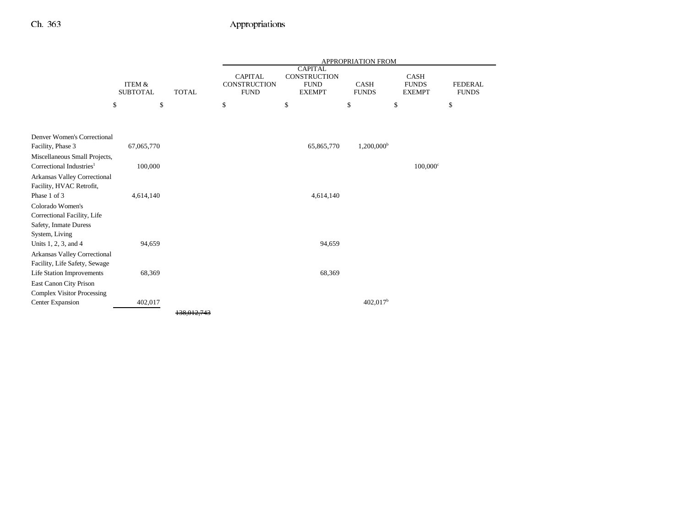|                                                       |                                      |              | <b>APPROPRIATION FROM</b>                     |                                                                |                             |                                              |                                |
|-------------------------------------------------------|--------------------------------------|--------------|-----------------------------------------------|----------------------------------------------------------------|-----------------------------|----------------------------------------------|--------------------------------|
|                                                       | <b>ITEM &amp;</b><br><b>SUBTOTAL</b> | <b>TOTAL</b> | <b>CAPITAL</b><br>CONSTRUCTION<br><b>FUND</b> | <b>CAPITAL</b><br>CONSTRUCTION<br><b>FUND</b><br><b>EXEMPT</b> | <b>CASH</b><br><b>FUNDS</b> | <b>CASH</b><br><b>FUNDS</b><br><b>EXEMPT</b> | <b>FEDERAL</b><br><b>FUNDS</b> |
|                                                       | \$<br>\$                             |              | \$                                            | \$                                                             | \$                          | \$                                           | \$                             |
|                                                       |                                      |              |                                               |                                                                |                             |                                              |                                |
| Denver Women's Correctional                           |                                      |              |                                               |                                                                |                             |                                              |                                |
| Facility, Phase 3                                     | 67,065,770                           |              |                                               | 65,865,770                                                     | $1,200,000^{\rm b}$         |                                              |                                |
| Miscellaneous Small Projects,                         |                                      |              |                                               |                                                                |                             |                                              |                                |
| Correctional Industries <sup>1</sup>                  | 100,000                              |              |                                               |                                                                |                             | $100,000$ c                                  |                                |
| Arkansas Valley Correctional                          |                                      |              |                                               |                                                                |                             |                                              |                                |
| Facility, HVAC Retrofit,                              |                                      |              |                                               |                                                                |                             |                                              |                                |
| Phase 1 of 3                                          | 4,614,140                            |              |                                               | 4,614,140                                                      |                             |                                              |                                |
| Colorado Women's                                      |                                      |              |                                               |                                                                |                             |                                              |                                |
| Correctional Facility, Life                           |                                      |              |                                               |                                                                |                             |                                              |                                |
| Safety, Inmate Duress                                 |                                      |              |                                               |                                                                |                             |                                              |                                |
| System, Living                                        |                                      |              |                                               |                                                                |                             |                                              |                                |
| Units 1, 2, 3, and 4                                  | 94,659                               |              |                                               | 94,659                                                         |                             |                                              |                                |
| Arkansas Valley Correctional                          |                                      |              |                                               |                                                                |                             |                                              |                                |
| Facility, Life Safety, Sewage                         |                                      |              |                                               |                                                                |                             |                                              |                                |
| Life Station Improvements                             | 68,369                               |              |                                               | 68,369                                                         |                             |                                              |                                |
| East Canon City Prison                                |                                      |              |                                               |                                                                |                             |                                              |                                |
| <b>Complex Visitor Processing</b><br>Center Expansion | 402,017                              |              |                                               |                                                                | $402,017$ <sup>b</sup>      |                                              |                                |
|                                                       |                                      |              |                                               |                                                                |                             |                                              |                                |
|                                                       |                                      | 138,012.7    |                                               |                                                                |                             |                                              |                                |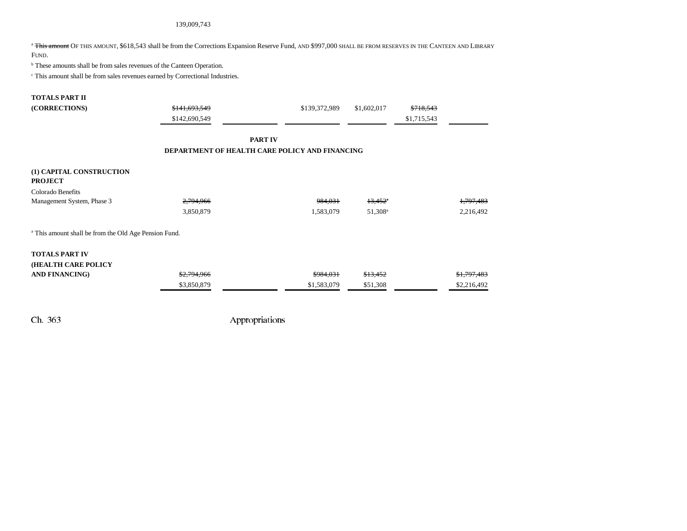### 139,009,743

<sup>a</sup> <del>This amount</del> Of this amount, \$618,543 shall be from the Corrections Expansion Reserve Fund, and \$997,000 shall be from reserves in the Canteen and Library FUND.

 $<sup>b</sup>$  These amounts shall be from sales revenues of the Canteen Operation.</sup>

c This amount shall be from sales revenues earned by Correctional Industries.

#### **TOTALS PART II**

| (CORRECTIONS)                                                    | \$141.693.549 | \$139,372,989                                  | \$1,602,017           | \$718.543   |             |
|------------------------------------------------------------------|---------------|------------------------------------------------|-----------------------|-------------|-------------|
|                                                                  | \$142,690,549 |                                                |                       | \$1,715,543 |             |
|                                                                  |               | <b>PART IV</b>                                 |                       |             |             |
|                                                                  |               | DEPARTMENT OF HEALTH CARE POLICY AND FINANCING |                       |             |             |
| (1) CAPITAL CONSTRUCTION<br><b>PROJECT</b>                       |               |                                                |                       |             |             |
| Colorado Benefits                                                |               |                                                |                       |             |             |
| Management System, Phase 3                                       | 2,794,966     | 984,031                                        | $13,452$ <sup>a</sup> |             | 1,797,483   |
|                                                                  | 3,850,879     | 1,583,079                                      | 51,308 <sup>a</sup>   |             | 2,216,492   |
| <sup>a</sup> This amount shall be from the Old Age Pension Fund. |               |                                                |                       |             |             |
| <b>TOTALS PART IV</b>                                            |               |                                                |                       |             |             |
| (HEALTH CARE POLICY                                              |               |                                                |                       |             |             |
| <b>AND FINANCING)</b>                                            | \$2,794,966   | \$984,031                                      | \$13,452              |             | \$1,797,483 |
|                                                                  | \$3,850,879   | \$1,583,079                                    | \$51,308              |             | \$2,216,492 |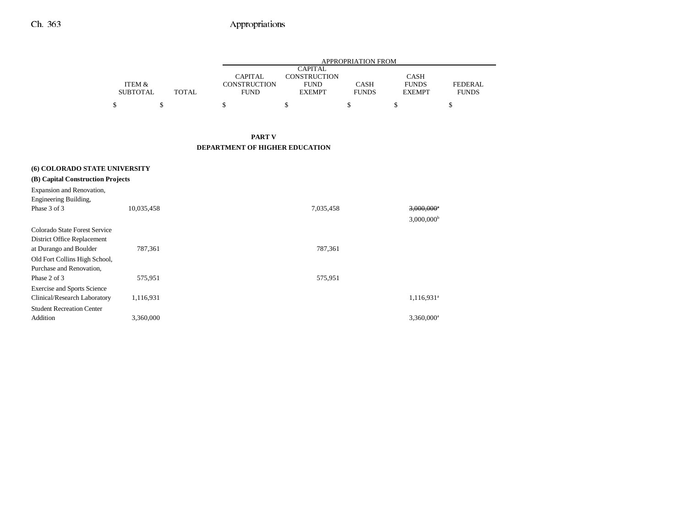|                 |       |              | APPROPRIATION FROM |              |               |                |  |  |  |
|-----------------|-------|--------------|--------------------|--------------|---------------|----------------|--|--|--|
|                 |       |              | <b>CAPITAL</b>     |              |               |                |  |  |  |
|                 |       | CAPITAL      | CONSTRUCTION       |              | <b>CASH</b>   |                |  |  |  |
| ITEM &          |       | CONSTRUCTION | <b>FUND</b>        | <b>CASH</b>  | <b>FUNDS</b>  | <b>FEDERAL</b> |  |  |  |
| <b>SUBTOTAL</b> | TOTAL | <b>FUND</b>  | <b>EXEMPT</b>      | <b>FUNDS</b> | <b>EXEMPT</b> | <b>FUNDS</b>   |  |  |  |
|                 |       |              |                    |              |               |                |  |  |  |
|                 |       |              |                    |              |               |                |  |  |  |

## **PART V DEPARTMENT OF HIGHER EDUCATION**

| <b>(6) COLORADO STATE UNIVERSITY</b><br>(B) Capital Construction Projects<br>Expansion and Renovation,<br>Engineering Building,                     |            |           |                                                      |
|-----------------------------------------------------------------------------------------------------------------------------------------------------|------------|-----------|------------------------------------------------------|
| Phase 3 of 3                                                                                                                                        | 10,035,458 | 7,035,458 | $3,000,000$ <sup>a</sup><br>$3,000,000$ <sup>b</sup> |
| Colorado State Forest Service<br>District Office Replacement<br>at Durango and Boulder<br>Old Fort Collins High School,<br>Purchase and Renovation, | 787,361    | 787,361   |                                                      |
| Phase 2 of 3                                                                                                                                        | 575,951    | 575,951   |                                                      |
| <b>Exercise and Sports Science</b><br>Clinical/Research Laboratory<br><b>Student Recreation Center</b>                                              | 1,116,931  |           | 1,116,931 <sup>a</sup>                               |
| Addition                                                                                                                                            | 3,360,000  |           | 3,360,000 <sup>a</sup>                               |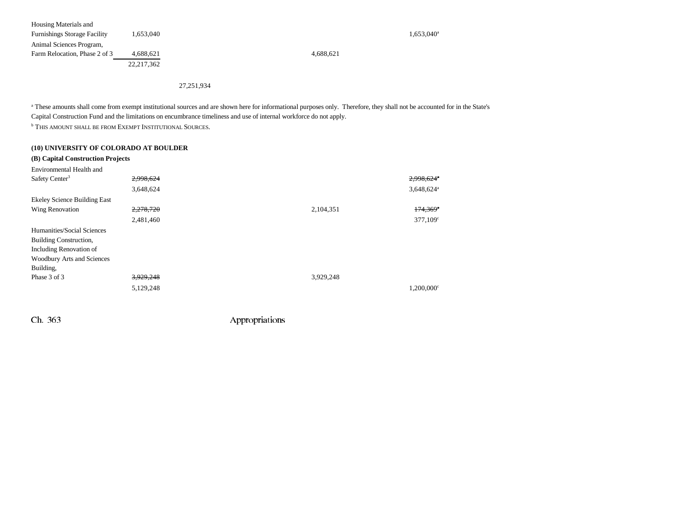| Housing Materials and               |              |           |                        |
|-------------------------------------|--------------|-----------|------------------------|
| <b>Furnishings Storage Facility</b> | 1,653,040    |           | 1,653,040 <sup>a</sup> |
| Animal Sciences Program,            |              |           |                        |
| Farm Relocation, Phase 2 of 3       | 4.688.621    | 4.688.621 |                        |
|                                     | 22, 217, 362 |           |                        |
|                                     |              |           |                        |

27,251,934

<sup>a</sup> These amounts shall come from exempt institutional sources and are shown here for informational purposes only. Therefore, they shall not be accounted for in the State's Capital Construction Fund and the limitations on encumbrance timeliness and use of internal workforce do not apply.

**b THIS AMOUNT SHALL BE FROM EXEMPT INSTITUTIONAL SOURCES.** 

### **(10) UNIVERSITY OF COLORADO AT BOULDER**

| (B) Capital Construction Projects |           |                          |
|-----------------------------------|-----------|--------------------------|
|                                   |           |                          |
| 2,998,624                         |           | 2,998,624                |
| 3,648,624                         |           | $3,648,624$ <sup>a</sup> |
|                                   |           |                          |
| 2,278,720                         | 2,104,351 | $174,369$ <sup>*</sup>   |
| 2,481,460                         |           | 377,109°                 |
|                                   |           |                          |
|                                   |           |                          |
|                                   |           |                          |
|                                   |           |                          |
|                                   |           |                          |
| 3,929,248                         | 3,929,248 |                          |
| 5,129,248                         |           | $1.200.000$ <sup>c</sup> |
|                                   |           |                          |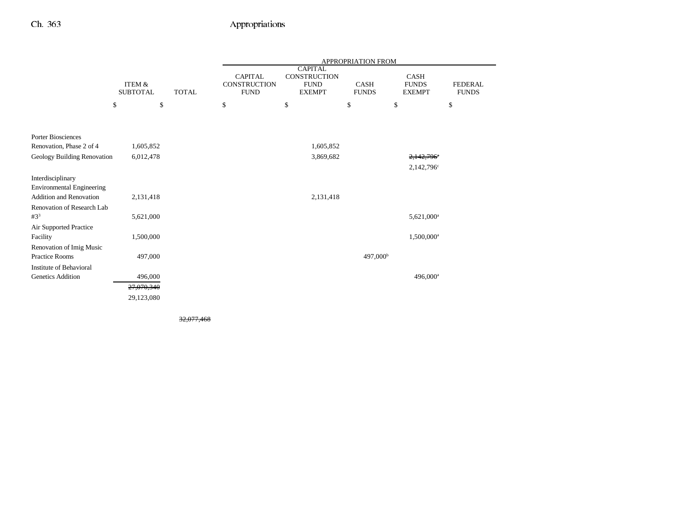|                                  |                                      |              |                                                      |                                                                | APPROPRIATION FROM          |                                              |                                |
|----------------------------------|--------------------------------------|--------------|------------------------------------------------------|----------------------------------------------------------------|-----------------------------|----------------------------------------------|--------------------------------|
|                                  | <b>ITEM &amp;</b><br><b>SUBTOTAL</b> | <b>TOTAL</b> | <b>CAPITAL</b><br><b>CONSTRUCTION</b><br><b>FUND</b> | <b>CAPITAL</b><br>CONSTRUCTION<br><b>FUND</b><br><b>EXEMPT</b> | <b>CASH</b><br><b>FUNDS</b> | <b>CASH</b><br><b>FUNDS</b><br><b>EXEMPT</b> | <b>FEDERAL</b><br><b>FUNDS</b> |
|                                  | \$<br>\$                             |              | $\$$                                                 | \$                                                             | \$                          | $\$$                                         | \$                             |
|                                  |                                      |              |                                                      |                                                                |                             |                                              |                                |
| <b>Porter Biosciences</b>        |                                      |              |                                                      |                                                                |                             |                                              |                                |
| Renovation, Phase 2 of 4         | 1,605,852                            |              |                                                      | 1,605,852                                                      |                             |                                              |                                |
| Geology Building Renovation      | 6,012,478                            |              |                                                      | 3,869,682                                                      |                             | 2,142,796*                                   |                                |
|                                  |                                      |              |                                                      |                                                                |                             | 2,142,796°                                   |                                |
| Interdisciplinary                |                                      |              |                                                      |                                                                |                             |                                              |                                |
| <b>Environmental Engineering</b> |                                      |              |                                                      |                                                                |                             |                                              |                                |
| <b>Addition and Renovation</b>   | 2,131,418                            |              |                                                      | 2,131,418                                                      |                             |                                              |                                |
| Renovation of Research Lab       |                                      |              |                                                      |                                                                |                             |                                              |                                |
| $#3^3$                           | 5,621,000                            |              |                                                      |                                                                |                             | 5,621,000 <sup>a</sup>                       |                                |
| Air Supported Practice           |                                      |              |                                                      |                                                                |                             |                                              |                                |
| Facility                         | 1,500,000                            |              |                                                      |                                                                |                             | 1,500,000 <sup>a</sup>                       |                                |
| Renovation of Imig Music         |                                      |              |                                                      |                                                                |                             |                                              |                                |
| <b>Practice Rooms</b>            | 497,000                              |              |                                                      |                                                                | 497,000 <sup>b</sup>        |                                              |                                |
| Institute of Behavioral          |                                      |              |                                                      |                                                                |                             |                                              |                                |
| Genetics Addition                | 496,000                              |              |                                                      |                                                                |                             | 496,000 <sup>a</sup>                         |                                |
|                                  | 27,070,340                           |              |                                                      |                                                                |                             |                                              |                                |
|                                  | 29,123,080                           |              |                                                      |                                                                |                             |                                              |                                |

32,077,468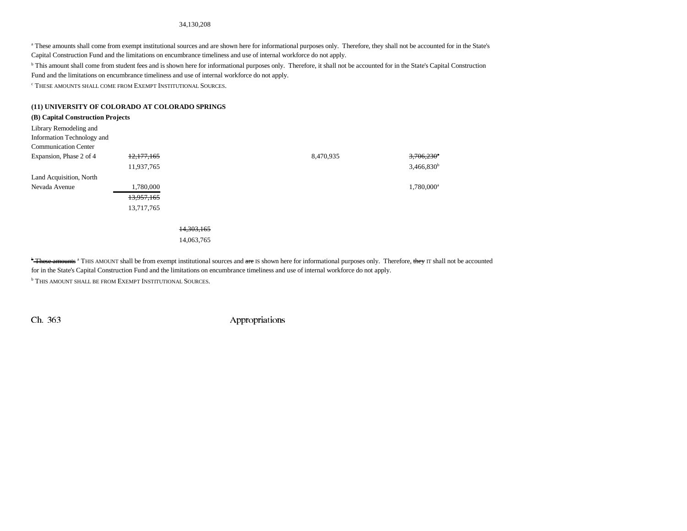#### 34,130,208

a These amounts shall come from exempt institutional sources and are shown here for informational purposes only. Therefore, they shall not be accounted for in the State's Capital Construction Fund and the limitations on encumbrance timeliness and use of internal workforce do not apply.

b This amount shall come from student fees and is shown here for informational purposes only. Therefore, it shall not be accounted for in the State's Capital Construction Fund and the limitations on encumbrance timeliness and use of internal workforce do not apply.

 $\lq$  These amounts shall come from Exempt Institutional Sources.

#### **(11) UNIVERSITY OF COLORADO AT COLORADO SPRINGS**

#### **(B) Capital Construction Projects**

| Library Remodeling and      |            |            |           |                          |
|-----------------------------|------------|------------|-----------|--------------------------|
| Information Technology and  |            |            |           |                          |
| <b>Communication Center</b> |            |            |           |                          |
| Expansion, Phase 2 of 4     | 12,177,165 |            | 8,470,935 | $3,706,230$ <sup>*</sup> |
|                             | 11,937,765 |            |           | $3,466,830$ <sup>b</sup> |
| Land Acquisition, North     |            |            |           |                          |
| Nevada Avenue               | 1,780,000  |            |           | 1,780,000 <sup>a</sup>   |
|                             | 13,957,165 |            |           |                          |
|                             | 13,717,765 |            |           |                          |
|                             |            |            |           |                          |
|                             |            | 14.303.165 |           |                          |

14,063,765

**\* These amounts** a THIS AMOUNT shall be from exempt institutional sources and are IS shown here for informational purposes only. Therefore, they IT shall not be accounted for in the State's Capital Construction Fund and the limitations on encumbrance timeliness and use of internal workforce do not apply. **b This amount shall be from Exempt Institutional Sources.**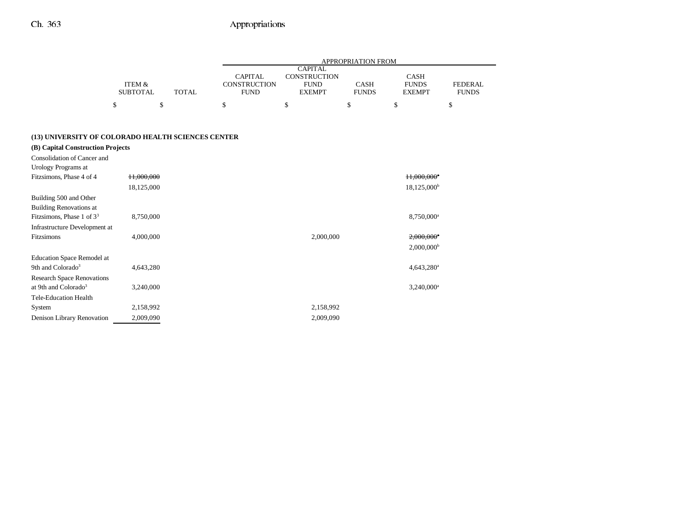|                                                    |                           |              |                                               |                                                                | <b>APPROPRIATION FROM</b>   |                                       |                                |
|----------------------------------------------------|---------------------------|--------------|-----------------------------------------------|----------------------------------------------------------------|-----------------------------|---------------------------------------|--------------------------------|
|                                                    | ITEM &<br><b>SUBTOTAL</b> | <b>TOTAL</b> | <b>CAPITAL</b><br>CONSTRUCTION<br><b>FUND</b> | <b>CAPITAL</b><br>CONSTRUCTION<br><b>FUND</b><br><b>EXEMPT</b> | <b>CASH</b><br><b>FUNDS</b> | CASH<br><b>FUNDS</b><br><b>EXEMPT</b> | <b>FEDERAL</b><br><b>FUNDS</b> |
|                                                    | \$<br>\$                  |              | \$                                            | \$                                                             | \$                          | \$                                    | \$                             |
|                                                    |                           |              |                                               |                                                                |                             |                                       |                                |
| (13) UNIVERSITY OF COLORADO HEALTH SCIENCES CENTER |                           |              |                                               |                                                                |                             |                                       |                                |
| (B) Capital Construction Projects                  |                           |              |                                               |                                                                |                             |                                       |                                |
| Consolidation of Cancer and                        |                           |              |                                               |                                                                |                             |                                       |                                |
| Urology Programs at                                |                           |              |                                               |                                                                |                             |                                       |                                |
| Fitzsimons, Phase 4 of 4                           | 11,000,000                |              |                                               |                                                                |                             | 11,000,000*                           |                                |
|                                                    | 18,125,000                |              |                                               |                                                                |                             | $18,125,000^{\rm b}$                  |                                |
| Building 500 and Other                             |                           |              |                                               |                                                                |                             |                                       |                                |
| <b>Building Renovations at</b>                     |                           |              |                                               |                                                                |                             |                                       |                                |
| Fitzsimons, Phase 1 of $33$                        | 8,750,000                 |              |                                               |                                                                |                             | 8,750,000 <sup>a</sup>                |                                |
| Infrastructure Development at                      |                           |              |                                               |                                                                |                             |                                       |                                |
| Fitzsimons                                         | 4,000,000                 |              |                                               | 2,000,000                                                      |                             | 2,000,000*                            |                                |
|                                                    |                           |              |                                               |                                                                |                             | $2,000,000^{\rm b}$                   |                                |
| <b>Education Space Remodel at</b>                  |                           |              |                                               |                                                                |                             |                                       |                                |
| 9th and Colorado <sup>3</sup>                      | 4,643,280                 |              |                                               |                                                                |                             | 4,643,280 <sup>a</sup>                |                                |
| <b>Research Space Renovations</b>                  |                           |              |                                               |                                                                |                             |                                       |                                |
| at 9th and Colorado <sup>3</sup>                   | 3,240,000                 |              |                                               |                                                                |                             | 3,240,000 <sup>a</sup>                |                                |
| <b>Tele-Education Health</b>                       |                           |              |                                               |                                                                |                             |                                       |                                |
| System                                             | 2,158,992                 |              |                                               | 2,158,992                                                      |                             |                                       |                                |
| Denison Library Renovation                         | 2,009,090                 |              |                                               | 2,009,090                                                      |                             |                                       |                                |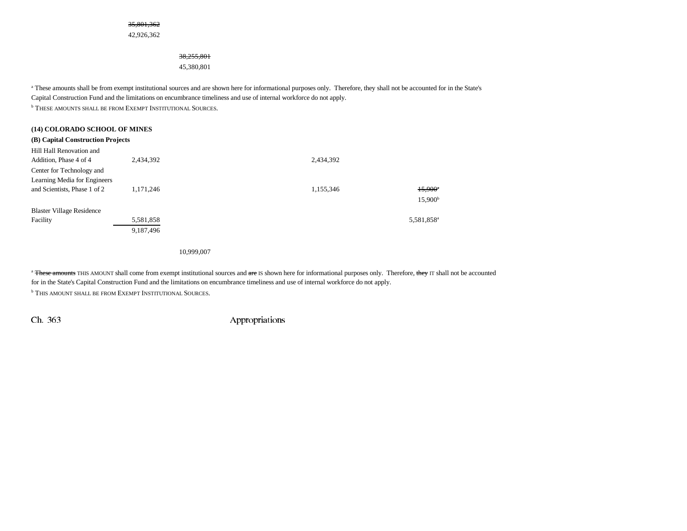#### 35,801,362

42,926,362

#### 38,255,801

45,380,801

<sup>a</sup> These amounts shall be from exempt institutional sources and are shown here for informational purposes only. Therefore, they shall not be accounted for in the State's Capital Construction Fund and the limitations on encumbrance timeliness and use of internal workforce do not apply. **b THESE AMOUNTS SHALL BE FROM EXEMPT INSTITUTIONAL SOURCES.** 

**(14) COLORADO SCHOOL OF MINES**

| (14) COLORADO SCHOOL OF MINES     |           |           |                        |
|-----------------------------------|-----------|-----------|------------------------|
| (B) Capital Construction Projects |           |           |                        |
| Hill Hall Renovation and          |           |           |                        |
| Addition, Phase 4 of 4            | 2,434,392 | 2,434,392 |                        |
| Center for Technology and         |           |           |                        |
| Learning Media for Engineers      |           |           |                        |
| and Scientists, Phase 1 of 2      | 1.171.246 | 1,155,346 | $15,900^{\circ}$       |
|                                   |           |           | $15,900^{\rm b}$       |
| <b>Blaster Village Residence</b>  |           |           |                        |
| Facility                          | 5,581,858 |           | 5,581,858 <sup>a</sup> |
|                                   | 9,187,496 |           |                        |

10,999,007

<sup>a</sup> <del>These amounts</del> THIS AMOUNT shall come from exempt institutional sources and are IS shown here for informational purposes only. Therefore, they IT shall not be accounted for in the State's Capital Construction Fund and the limitations on encumbrance timeliness and use of internal workforce do not apply. **b This amount shall be from Exempt Institutional Sources.**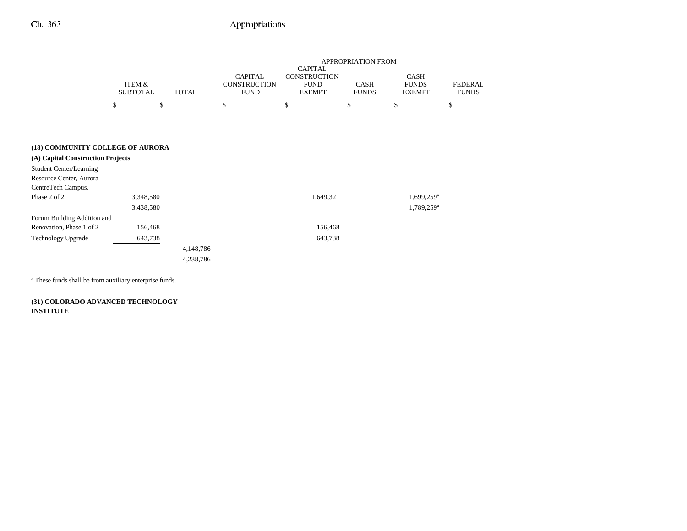-

|                                   |                           |              | APPROPRIATION FROM                                   |                                                                       |                             |                                       |                                |
|-----------------------------------|---------------------------|--------------|------------------------------------------------------|-----------------------------------------------------------------------|-----------------------------|---------------------------------------|--------------------------------|
|                                   | ITEM &<br><b>SUBTOTAL</b> | <b>TOTAL</b> | <b>CAPITAL</b><br><b>CONSTRUCTION</b><br><b>FUND</b> | <b>CAPITAL</b><br><b>CONSTRUCTION</b><br><b>FUND</b><br><b>EXEMPT</b> | <b>CASH</b><br><b>FUNDS</b> | CASH<br><b>FUNDS</b><br><b>EXEMPT</b> | <b>FEDERAL</b><br><b>FUNDS</b> |
|                                   | \$<br>\$                  |              | \$                                                   | \$                                                                    | \$                          | \$                                    | \$                             |
|                                   |                           |              |                                                      |                                                                       |                             |                                       |                                |
|                                   |                           |              |                                                      |                                                                       |                             |                                       |                                |
| (18) COMMUNITY COLLEGE OF AURORA  |                           |              |                                                      |                                                                       |                             |                                       |                                |
| (A) Capital Construction Projects |                           |              |                                                      |                                                                       |                             |                                       |                                |
| <b>Student Center/Learning</b>    |                           |              |                                                      |                                                                       |                             |                                       |                                |
| Resource Center, Aurora           |                           |              |                                                      |                                                                       |                             |                                       |                                |
| CentreTech Campus,                |                           |              |                                                      |                                                                       |                             |                                       |                                |
| Phase 2 of 2                      | 3,348,580                 |              |                                                      | 1,649,321                                                             |                             | 1,699,259 <sup>*</sup>                |                                |
|                                   | 3,438,580                 |              |                                                      |                                                                       |                             | 1,789,259 <sup>a</sup>                |                                |
| Forum Building Addition and       |                           |              |                                                      |                                                                       |                             |                                       |                                |
| Renovation, Phase 1 of 2          | 156,468                   |              |                                                      | 156,468                                                               |                             |                                       |                                |
| <b>Technology Upgrade</b>         | 643,738                   |              |                                                      | 643,738                                                               |                             |                                       |                                |
|                                   |                           | 4,148,786    |                                                      |                                                                       |                             |                                       |                                |
|                                   |                           | 4,238,786    |                                                      |                                                                       |                             |                                       |                                |
|                                   |                           |              |                                                      |                                                                       |                             |                                       |                                |

a These funds shall be from auxiliary enterprise funds.

**(31) COLORADO ADVANCED TECHNOLOGY INSTITUTE**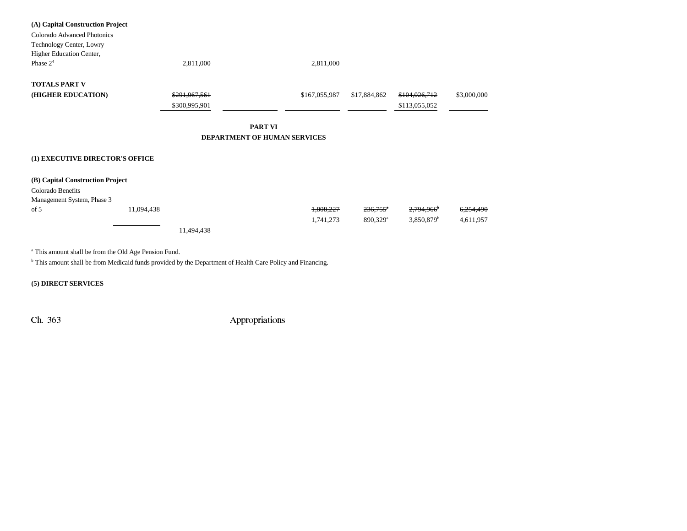| (A) Capital Construction Project |            |                          |                              |               |                        |                          |             |
|----------------------------------|------------|--------------------------|------------------------------|---------------|------------------------|--------------------------|-------------|
| Colorado Advanced Photonics      |            |                          |                              |               |                        |                          |             |
| Technology Center, Lowry         |            |                          |                              |               |                        |                          |             |
| Higher Education Center,         |            |                          |                              |               |                        |                          |             |
| Phase 2 <sup>4</sup>             |            | 2,811,000                |                              | 2,811,000     |                        |                          |             |
| <b>TOTALS PART V</b>             |            |                          |                              |               |                        |                          |             |
| (HIGHER EDUCATION)               |            | <del>\$291,967,561</del> |                              | \$167,055,987 | \$17,884,862           | \$104,026,712            | \$3,000,000 |
|                                  |            | \$300,995,901            |                              |               |                        | \$113,055,052            |             |
|                                  |            |                          | PART VI                      |               |                        |                          |             |
|                                  |            |                          | DEPARTMENT OF HUMAN SERVICES |               |                        |                          |             |
|                                  |            |                          |                              |               |                        |                          |             |
| (1) EXECUTIVE DIRECTOR'S OFFICE  |            |                          |                              |               |                        |                          |             |
| (B) Capital Construction Project |            |                          |                              |               |                        |                          |             |
| Colorado Benefits                |            |                          |                              |               |                        |                          |             |
| Management System, Phase 3       |            |                          |                              |               |                        |                          |             |
| of 5                             | 11,094,438 |                          |                              | 1,808,227     | $236,755$ <sup>*</sup> | 2,794,966 <sup>b</sup>   | 6,254,490   |
|                                  |            |                          |                              | 1,741,273     | 890,329 <sup>a</sup>   | $3,850,879$ <sup>b</sup> | 4,611,957   |
|                                  |            | 11,494,438               |                              |               |                        |                          |             |
|                                  |            |                          |                              |               |                        |                          |             |

a This amount shall be from the Old Age Pension Fund.

b This amount shall be from Medicaid funds provided by the Department of Health Care Policy and Financing.

**(5) DIRECT SERVICES**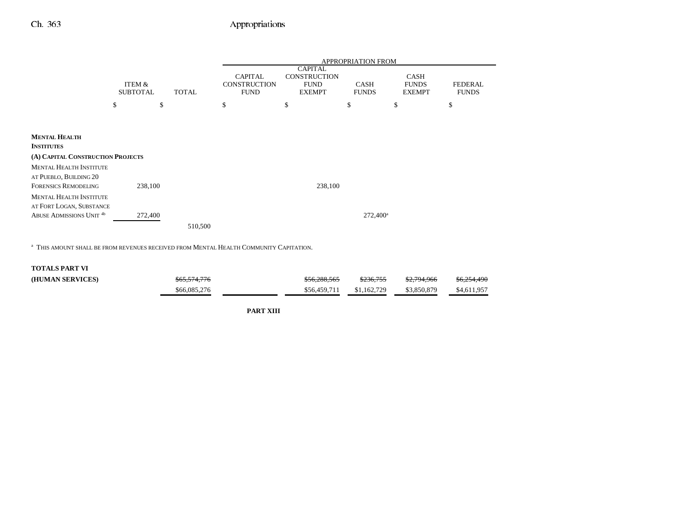$\overline{\phantom{0}}$ 

|                                                                 |                           |              |         | <b>APPROPRIATION FROM</b>                            |                                                                       |                             |                                              |                                |
|-----------------------------------------------------------------|---------------------------|--------------|---------|------------------------------------------------------|-----------------------------------------------------------------------|-----------------------------|----------------------------------------------|--------------------------------|
|                                                                 | ITEM &<br><b>SUBTOTAL</b> | <b>TOTAL</b> |         | <b>CAPITAL</b><br><b>CONSTRUCTION</b><br><b>FUND</b> | <b>CAPITAL</b><br><b>CONSTRUCTION</b><br><b>FUND</b><br><b>EXEMPT</b> | <b>CASH</b><br><b>FUNDS</b> | <b>CASH</b><br><b>FUNDS</b><br><b>EXEMPT</b> | <b>FEDERAL</b><br><b>FUNDS</b> |
|                                                                 | \$                        | \$           |         | \$                                                   | \$                                                                    | \$                          | \$                                           | \$                             |
|                                                                 |                           |              |         |                                                      |                                                                       |                             |                                              |                                |
| <b>MENTAL HEALTH</b><br><b>INSTITUTES</b>                       |                           |              |         |                                                      |                                                                       |                             |                                              |                                |
| (A) CAPITAL CONSTRUCTION PROJECTS                               |                           |              |         |                                                      |                                                                       |                             |                                              |                                |
| <b>MENTAL HEALTH INSTITUTE</b>                                  |                           |              |         |                                                      |                                                                       |                             |                                              |                                |
| AT PUEBLO, BUILDING 20<br><b>FORENSICS REMODELING</b>           | 238,100                   |              |         |                                                      | 238,100                                                               |                             |                                              |                                |
| <b>MENTAL HEALTH INSTITUTE</b>                                  |                           |              |         |                                                      |                                                                       |                             |                                              |                                |
| AT FORT LOGAN, SUBSTANCE<br>ABUSE ADMISSIONS UNIT <sup>4b</sup> | 272,400                   |              |         |                                                      |                                                                       | $272,400^{\circ}$           |                                              |                                |
|                                                                 |                           |              | 510,500 |                                                      |                                                                       |                             |                                              |                                |

a THIS AMOUNT SHALL BE FROM REVENUES RECEIVED FROM MENTAL HEALTH COMMUNITY CAPITATION.

### **TOTALS PART VI**

| (HUMAN SERVICES) | <del>\$65.574.776</del> | <del>\$56.288.565</del> | \$236,755   | \$2,794,966 | <del>\$6,254,490</del> |
|------------------|-------------------------|-------------------------|-------------|-------------|------------------------|
|                  | \$66,085,276            | \$56,459,711            | \$1,162,729 | \$3,850,879 | \$4,611,957            |

**PART XIII**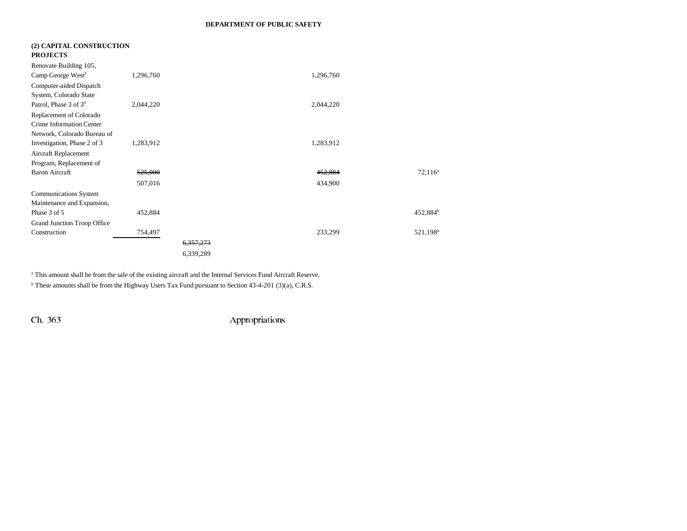### **DEPARTMENT OF PUBLIC SAFETY**

| (2) CAPITAL CONSTRUCTION<br><b>PROJECTS</b> |           |           |           |                      |
|---------------------------------------------|-----------|-----------|-----------|----------------------|
| Renovate Building 105,                      |           |           |           |                      |
| Camp George West <sup>5</sup>               | 1,296,760 |           | 1,296,760 |                      |
| Computer-aided Dispatch                     |           |           |           |                      |
| System, Colorado State                      |           |           |           |                      |
| Patrol, Phase 3 of 3 <sup>6</sup>           | 2,044,220 |           | 2,044,220 |                      |
| Replacement of Colorado                     |           |           |           |                      |
| <b>Crime Information Center</b>             |           |           |           |                      |
| Network, Colorado Bureau of                 |           |           |           |                      |
| Investigation, Phase 2 of 3                 | 1,283,912 |           | 1,283,912 |                      |
| Aircraft Replacement                        |           |           |           |                      |
| Program, Replacement of                     |           |           |           |                      |
| <b>Baron Aircraft</b>                       | 525,000   |           | 452,884   | $72,116^a$           |
|                                             | 507,016   |           | 434,900   |                      |
| <b>Communications System</b>                |           |           |           |                      |
| Maintenance and Expansion,                  |           |           |           |                      |
| Phase 3 of 5                                | 452,884   |           |           | 452,884 <sup>b</sup> |
| Grand Junction Troop Office                 |           |           |           |                      |
| Construction                                | 754,497   |           | 233,299   | 521,198 <sup>b</sup> |
|                                             |           | 6,357,273 |           |                      |
|                                             |           | 6,339,289 |           |                      |

<sup>a</sup> This amount shall be from the sale of the existing aircraft and the Internal Services Fund Aircraft Reserve.

<sup>b</sup> These amounts shall be from the Highway Users Tax Fund pursuant to Section 43-4-201 (3)(a), C.R.S.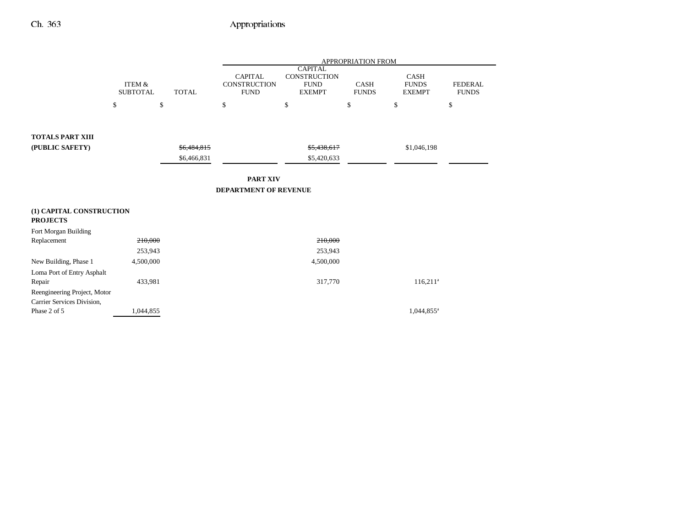|                                                            |                                      |              | <b>APPROPRIATION FROM</b>                            |                                                                |                             |                                       |                                |
|------------------------------------------------------------|--------------------------------------|--------------|------------------------------------------------------|----------------------------------------------------------------|-----------------------------|---------------------------------------|--------------------------------|
|                                                            | <b>ITEM &amp;</b><br><b>SUBTOTAL</b> | <b>TOTAL</b> | <b>CAPITAL</b><br><b>CONSTRUCTION</b><br><b>FUND</b> | <b>CAPITAL</b><br>CONSTRUCTION<br><b>FUND</b><br><b>EXEMPT</b> | <b>CASH</b><br><b>FUNDS</b> | CASH<br><b>FUNDS</b><br><b>EXEMPT</b> | <b>FEDERAL</b><br><b>FUNDS</b> |
|                                                            | \$                                   | \$           | \$                                                   | \$                                                             | \$                          | \$                                    | \$                             |
|                                                            |                                      |              |                                                      |                                                                |                             |                                       |                                |
| <b>TOTALS PART XIII</b>                                    |                                      |              |                                                      |                                                                |                             |                                       |                                |
| (PUBLIC SAFETY)                                            |                                      | \$6,484,815  | \$5,438,617                                          |                                                                |                             | \$1,046,198                           |                                |
|                                                            |                                      | \$6,466,831  |                                                      | \$5,420,633                                                    |                             |                                       |                                |
|                                                            |                                      |              | <b>PART XIV</b>                                      |                                                                |                             |                                       |                                |
| <b>DEPARTMENT OF REVENUE</b>                               |                                      |              |                                                      |                                                                |                             |                                       |                                |
| (1) CAPITAL CONSTRUCTION                                   |                                      |              |                                                      |                                                                |                             |                                       |                                |
| <b>PROJECTS</b>                                            |                                      |              |                                                      |                                                                |                             |                                       |                                |
| Fort Morgan Building                                       |                                      |              |                                                      |                                                                |                             |                                       |                                |
| Replacement                                                | 210,000                              |              |                                                      | 210,000                                                        |                             |                                       |                                |
|                                                            | 253,943                              |              |                                                      | 253,943                                                        |                             |                                       |                                |
| New Building, Phase 1                                      | 4,500,000                            |              |                                                      | 4,500,000                                                      |                             |                                       |                                |
| Loma Port of Entry Asphalt                                 |                                      |              |                                                      |                                                                |                             |                                       |                                |
| Repair                                                     | 433,981                              |              |                                                      | 317,770                                                        |                             | $116,211^a$                           |                                |
| Reengineering Project, Motor<br>Carrier Services Division, |                                      |              |                                                      |                                                                |                             |                                       |                                |
| Phase 2 of 5                                               | 1,044,855                            |              |                                                      |                                                                |                             | 1,044,855 <sup>a</sup>                |                                |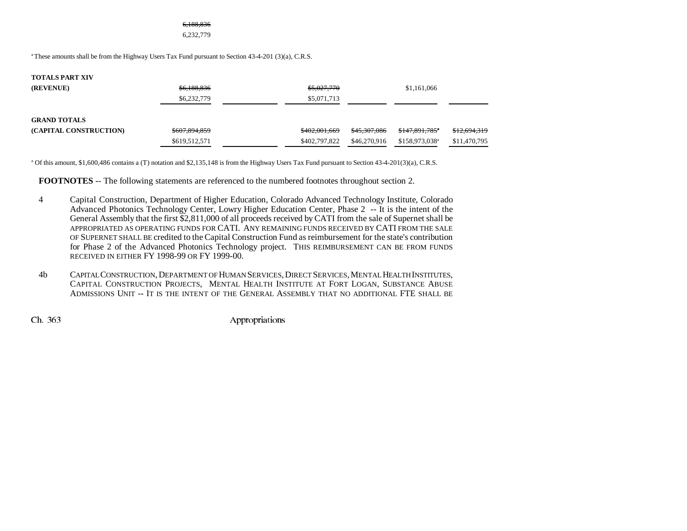#### 6,188,836

6,232,779

<sup>a</sup> These amounts shall be from the Highway Users Tax Fund pursuant to Section 43-4-201 (3)(a), C.R.S.

| <b>TOTALS PART XIV</b> |               |               |                         |                            |              |
|------------------------|---------------|---------------|-------------------------|----------------------------|--------------|
| (REVENUE)              | \$6,188,836   | \$5,027,770   |                         | \$1,161,066                |              |
|                        | \$6,232,779   | \$5,071,713   |                         |                            |              |
| <b>GRAND TOTALS</b>    |               |               |                         |                            |              |
| (CAPITAL CONSTRUCTION) | \$607,894,859 | \$402,001,669 | <del>\$45,307,086</del> | \$147,891,785*             | \$12,694,319 |
|                        | \$619,512,571 | \$402,797,822 | \$46,270,916            | \$158,973,038 <sup>a</sup> | \$11,470,795 |

a Of this amount, \$1,600,486 contains a (T) notation and \$2,135,148 is from the Highway Users Tax Fund pursuant to Section 43-4-201(3)(a), C.R.S.

**FOOTNOTES** -- The following statements are referenced to the numbered footnotes throughout section 2.

- 4 Capital Construction, Department of Higher Education, Colorado Advanced Technology Institute, Colorado Advanced Photonics Technology Center, Lowry Higher Education Center, Phase 2 -- It is the intent of the General Assembly that the first \$2,811,000 of all proceeds received by CATI from the sale of Supernet shall be APPROPRIATED AS OPERATING FUNDS FOR CATI. ANY REMAINING FUNDS RECEIVED BY CATI FROM THE SALE OF SUPERNET SHALL BE credited to the Capital Construction Fund as reimbursement for the state's contribution for Phase 2 of the Advanced Photonics Technology project. THIS REIMBURSEMENT CAN BE FROM FUNDS RECEIVED IN EITHER FY 1998-99 OR FY 1999-00.
- 4b CAPITAL CONSTRUCTION,DEPARTMENT OF HUMAN SERVICES,DIRECT SERVICES,MENTAL HEALTH INSTITUTES, Capital Construction Projects, Mental Health Institute at Fort Logan, Substance Abuse ADMISSIONS UNIT -- IT IS THE INTENT OF THE GENERAL ASSEMBLY THAT NO ADDITIONAL FTE SHALL BE